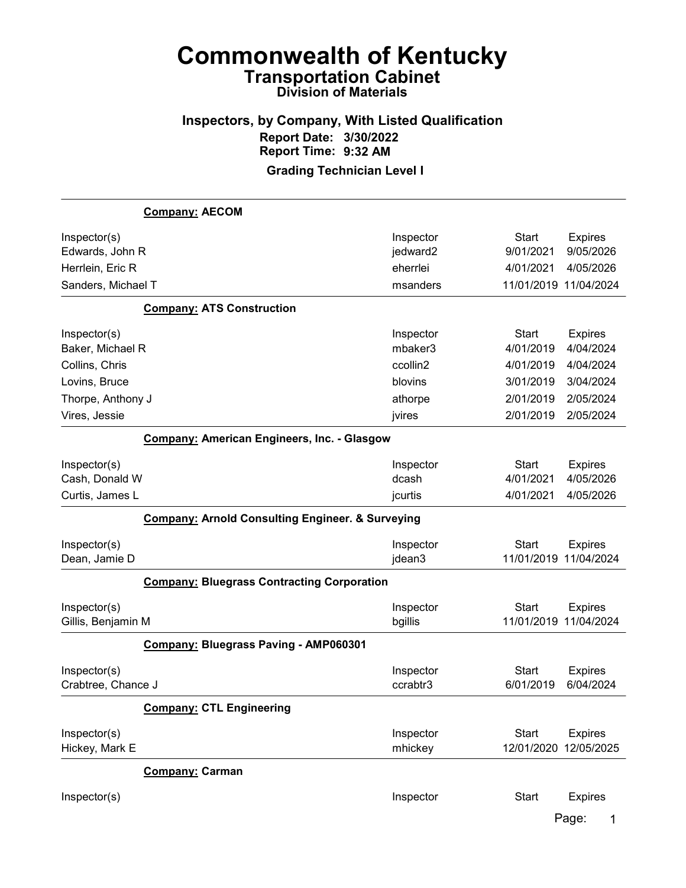## Inspectors, by Company, With Listed Qualification Report Date: 3/30/2022 Report Time: 9:32 AM

# Grading Technician Level I

|                                    | <b>Company: AECOM</b>                                       |                       |                                       |                              |
|------------------------------------|-------------------------------------------------------------|-----------------------|---------------------------------------|------------------------------|
| Inspector(s)<br>Edwards, John R    |                                                             | Inspector<br>jedward2 | <b>Start</b><br>9/01/2021             | <b>Expires</b><br>9/05/2026  |
| Herrlein, Eric R                   |                                                             | eherrlei              | 4/01/2021                             | 4/05/2026                    |
| Sanders, Michael T                 |                                                             | msanders              | 11/01/2019 11/04/2024                 |                              |
|                                    | <b>Company: ATS Construction</b>                            |                       |                                       |                              |
| Inspector(s)                       |                                                             | Inspector             | <b>Start</b>                          | <b>Expires</b>               |
| Baker, Michael R                   |                                                             | mbaker3               | 4/01/2019                             | 4/04/2024                    |
| Collins, Chris                     |                                                             | ccollin2<br>blovins   | 4/01/2019                             | 4/04/2024<br>3/04/2024       |
| Lovins, Bruce                      |                                                             |                       | 3/01/2019<br>2/01/2019                | 2/05/2024                    |
| Thorpe, Anthony J                  |                                                             | athorpe               |                                       |                              |
| Vires, Jessie                      |                                                             | jvires                | 2/01/2019                             | 2/05/2024                    |
|                                    | <b>Company: American Engineers, Inc. - Glasgow</b>          |                       |                                       |                              |
| Inspector(s)                       |                                                             | Inspector             | <b>Start</b>                          | <b>Expires</b>               |
| Cash, Donald W                     |                                                             | dcash                 | 4/01/2021                             | 4/05/2026                    |
| Curtis, James L                    |                                                             | jcurtis               | 4/01/2021                             | 4/05/2026                    |
|                                    | <b>Company: Arnold Consulting Engineer. &amp; Surveying</b> |                       |                                       |                              |
| Inspector(s)<br>Dean, Jamie D      |                                                             | Inspector<br>jdean3   | <b>Start</b><br>11/01/2019 11/04/2024 | <b>Expires</b>               |
|                                    | <b>Company: Bluegrass Contracting Corporation</b>           |                       |                                       |                              |
| Inspector(s)<br>Gillis, Benjamin M |                                                             | Inspector<br>bgillis  | <b>Start</b><br>11/01/2019            | <b>Expires</b><br>11/04/2024 |
|                                    | Company: Bluegrass Paving - AMP060301                       |                       |                                       |                              |
| Inspector(s)<br>Crabtree, Chance J |                                                             | Inspector<br>ccrabtr3 | <b>Start</b><br>6/01/2019             | <b>Expires</b><br>6/04/2024  |
|                                    | <b>Company: CTL Engineering</b>                             |                       |                                       |                              |
| Inspector(s)<br>Hickey, Mark E     |                                                             | Inspector<br>mhickey  | <b>Start</b><br>12/01/2020            | <b>Expires</b><br>12/05/2025 |
|                                    | Company: Carman                                             |                       |                                       |                              |
| Inspector(s)                       |                                                             | Inspector             | <b>Start</b>                          | <b>Expires</b>               |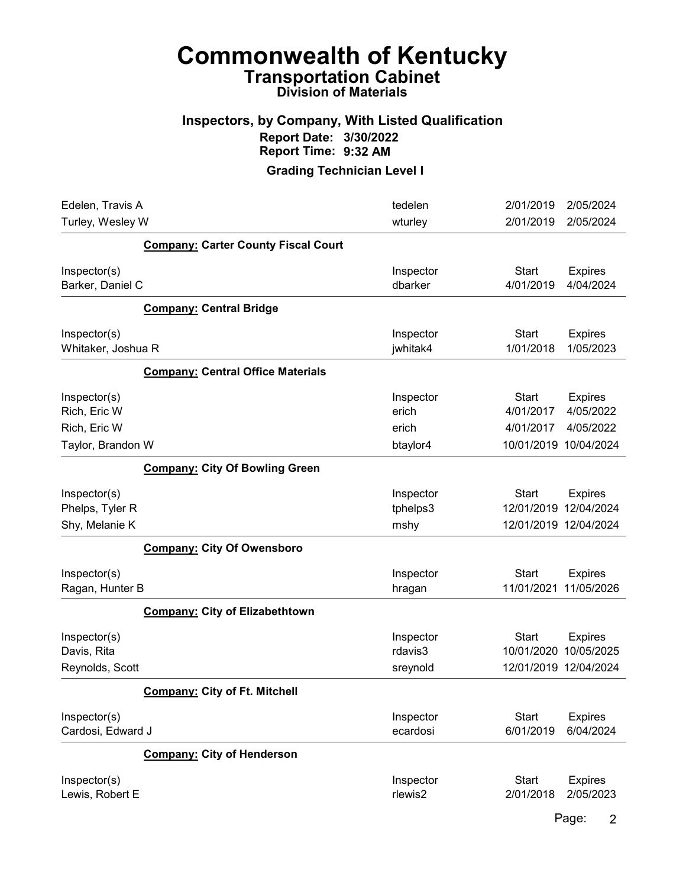#### Inspectors, by Company, With Listed Qualification Report Date: 3/30/2022 Report Time: 9:32 AM

Grading Technician Level I

| Edelen, Travis A                                  |                                            | tedelen                          | 2/01/2019                                           | 2/05/2024                                |
|---------------------------------------------------|--------------------------------------------|----------------------------------|-----------------------------------------------------|------------------------------------------|
| Turley, Wesley W                                  |                                            | wturley                          | 2/01/2019                                           | 2/05/2024                                |
|                                                   | <b>Company: Carter County Fiscal Court</b> |                                  |                                                     |                                          |
| Inspector(s)<br>Barker, Daniel C                  |                                            | Inspector<br>dbarker             | <b>Start</b><br>4/01/2019                           | <b>Expires</b><br>4/04/2024              |
|                                                   | <b>Company: Central Bridge</b>             |                                  |                                                     |                                          |
| Inspector(s)<br>Whitaker, Joshua R                |                                            | Inspector<br>jwhitak4            | <b>Start</b><br>1/01/2018                           | <b>Expires</b><br>1/05/2023              |
|                                                   | <b>Company: Central Office Materials</b>   |                                  |                                                     |                                          |
| Inspector(s)<br>Rich, Eric W<br>Rich, Eric W      |                                            | Inspector<br>erich<br>erich      | <b>Start</b><br>4/01/2017<br>4/01/2017              | <b>Expires</b><br>4/05/2022<br>4/05/2022 |
| Taylor, Brandon W                                 |                                            | btaylor4                         | 10/01/2019 10/04/2024                               |                                          |
|                                                   | <b>Company: City Of Bowling Green</b>      |                                  |                                                     |                                          |
| Inspector(s)<br>Phelps, Tyler R<br>Shy, Melanie K |                                            | Inspector<br>tphelps3<br>mshy    | <b>Start</b><br>12/01/2019<br>12/01/2019 12/04/2024 | <b>Expires</b><br>12/04/2024             |
|                                                   | <b>Company: City Of Owensboro</b>          |                                  |                                                     |                                          |
| Inspector(s)<br>Ragan, Hunter B                   |                                            | Inspector<br>hragan              | <b>Start</b><br>11/01/2021                          | <b>Expires</b><br>11/05/2026             |
|                                                   | <b>Company: City of Elizabethtown</b>      |                                  |                                                     |                                          |
| Inspector(s)<br>Davis, Rita<br>Reynolds, Scott    |                                            | Inspector<br>rdavis3<br>sreynold | <b>Start</b><br>10/01/2020<br>12/01/2019 12/04/2024 | <b>Expires</b><br>10/05/2025             |
|                                                   | <b>Company: City of Ft. Mitchell</b>       |                                  |                                                     |                                          |
| Inspector(s)<br>Cardosi, Edward J                 |                                            | Inspector<br>ecardosi            | <b>Start</b><br>6/01/2019                           | <b>Expires</b><br>6/04/2024              |
|                                                   | <b>Company: City of Henderson</b>          |                                  |                                                     |                                          |
| Inspector(s)<br>Lewis, Robert E                   |                                            | Inspector<br>rlewis2             | <b>Start</b><br>2/01/2018                           | <b>Expires</b><br>2/05/2023              |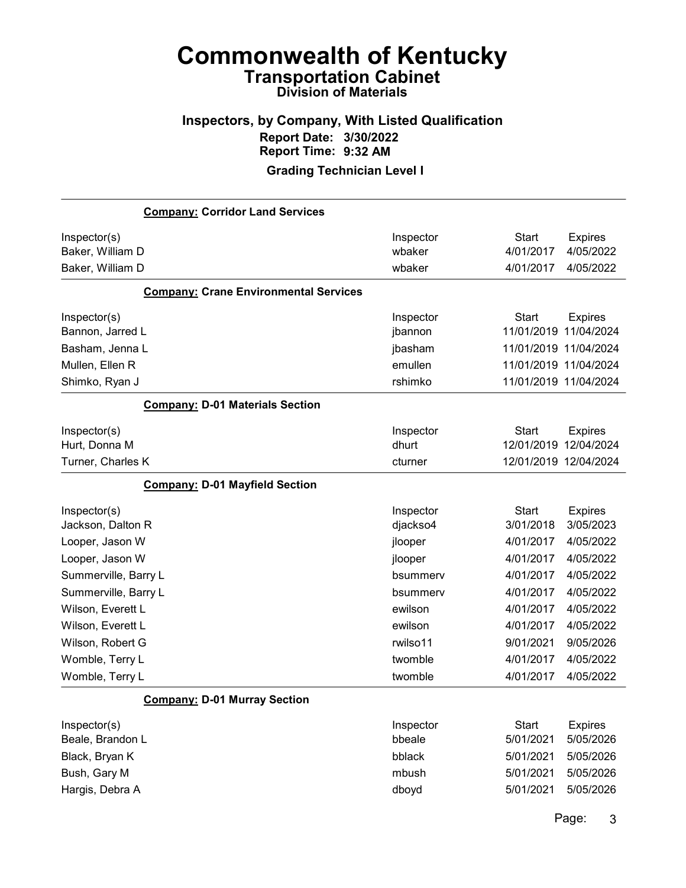## Inspectors, by Company, With Listed Qualification Report Date: 3/30/2022 Report Time: 9:32 AM

#### Grading Technician Level I

|                                  | <b>Company: Corridor Land Services</b>       |                     |                           |                             |
|----------------------------------|----------------------------------------------|---------------------|---------------------------|-----------------------------|
| Inspector(s)<br>Baker, William D |                                              | Inspector<br>wbaker | <b>Start</b><br>4/01/2017 | <b>Expires</b><br>4/05/2022 |
| Baker, William D                 |                                              | wbaker              | 4/01/2017                 | 4/05/2022                   |
|                                  | <b>Company: Crane Environmental Services</b> |                     |                           |                             |
| Inspector(s)                     |                                              | Inspector           | <b>Start</b>              | <b>Expires</b>              |
| Bannon, Jarred L                 |                                              | jbannon             | 11/01/2019                | 11/04/2024                  |
| Basham, Jenna L                  |                                              | jbasham             |                           | 11/01/2019 11/04/2024       |
| Mullen, Ellen R                  |                                              | emullen             |                           | 11/01/2019 11/04/2024       |
| Shimko, Ryan J                   |                                              | rshimko             |                           | 11/01/2019 11/04/2024       |
|                                  | <b>Company: D-01 Materials Section</b>       |                     |                           |                             |
| Inspector(s)                     |                                              | Inspector           | <b>Start</b>              | <b>Expires</b>              |
| Hurt, Donna M                    |                                              | dhurt               | 12/01/2019                | 12/04/2024                  |
| Turner, Charles K                |                                              | cturner             |                           | 12/01/2019 12/04/2024       |
|                                  | <b>Company: D-01 Mayfield Section</b>        |                     |                           |                             |
| Inspector(s)                     |                                              | Inspector           | <b>Start</b>              | <b>Expires</b>              |
| Jackson, Dalton R                |                                              | djackso4            | 3/01/2018                 | 3/05/2023                   |
| Looper, Jason W                  |                                              | jlooper             | 4/01/2017                 | 4/05/2022                   |
| Looper, Jason W                  |                                              | jlooper             | 4/01/2017                 | 4/05/2022                   |
| Summerville, Barry L             |                                              | bsummerv            | 4/01/2017                 | 4/05/2022                   |
| Summerville, Barry L             |                                              | bsummerv            | 4/01/2017                 | 4/05/2022                   |
| Wilson, Everett L                |                                              | ewilson             | 4/01/2017                 | 4/05/2022                   |
| Wilson, Everett L                |                                              | ewilson             | 4/01/2017                 | 4/05/2022                   |
| Wilson, Robert G                 |                                              | rwilso11            | 9/01/2021                 | 9/05/2026                   |
| Womble, Terry L                  |                                              | twomble             | 4/01/2017                 | 4/05/2022                   |
| Womble, Terry L                  |                                              | twomble             | 4/01/2017                 | 4/05/2022                   |
|                                  | <b>Company: D-01 Murray Section</b>          |                     |                           |                             |
| Inspector(s)                     |                                              | Inspector           | <b>Start</b>              | <b>Expires</b>              |
| Beale, Brandon L                 |                                              | bbeale              | 5/01/2021                 | 5/05/2026                   |
| Black, Bryan K                   |                                              | bblack              | 5/01/2021                 | 5/05/2026                   |
| Bush, Gary M                     |                                              | mbush               | 5/01/2021                 | 5/05/2026                   |
| Hargis, Debra A                  |                                              | dboyd               | 5/01/2021                 | 5/05/2026                   |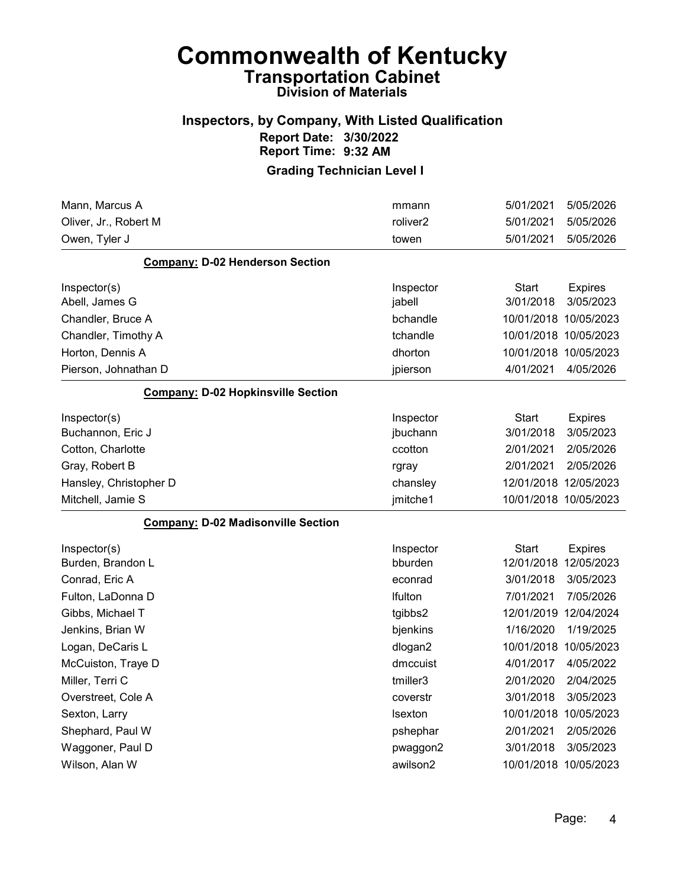#### Inspectors, by Company, With Listed Qualification Report Date: 3/30/2022 Report Time: 9:32 AM

| Mann, Marcus A                            | mmann                | 5/01/2021             | 5/05/2026      |
|-------------------------------------------|----------------------|-----------------------|----------------|
| Oliver, Jr., Robert M                     | roliver <sub>2</sub> | 5/01/2021             | 5/05/2026      |
| Owen, Tyler J                             | towen                | 5/01/2021             | 5/05/2026      |
| <b>Company: D-02 Henderson Section</b>    |                      |                       |                |
| Inspector(s)                              | Inspector            | <b>Start</b>          | <b>Expires</b> |
| Abell, James G                            | jabell               | 3/01/2018             | 3/05/2023      |
| Chandler, Bruce A                         | bchandle             | 10/01/2018 10/05/2023 |                |
| Chandler, Timothy A                       | tchandle             | 10/01/2018 10/05/2023 |                |
| Horton, Dennis A                          | dhorton              | 10/01/2018 10/05/2023 |                |
| Pierson, Johnathan D                      | jpierson             | 4/01/2021             | 4/05/2026      |
| <b>Company: D-02 Hopkinsville Section</b> |                      |                       |                |
| Inspector(s)                              | Inspector            | <b>Start</b>          | <b>Expires</b> |
| Buchannon, Eric J                         | jbuchann             | 3/01/2018             | 3/05/2023      |
| Cotton, Charlotte                         | ccotton              | 2/01/2021             | 2/05/2026      |
| Gray, Robert B                            | rgray                | 2/01/2021             | 2/05/2026      |
| Hansley, Christopher D                    | chansley             | 12/01/2018 12/05/2023 |                |
| Mitchell, Jamie S                         | jmitche1             | 10/01/2018 10/05/2023 |                |
| <b>Company: D-02 Madisonville Section</b> |                      |                       |                |
| Inspector(s)                              | Inspector            | Start                 | <b>Expires</b> |
| Burden, Brandon L                         | bburden              | 12/01/2018 12/05/2023 |                |
| Conrad, Eric A                            | econrad              | 3/01/2018             | 3/05/2023      |
| Fulton, LaDonna D                         | Ifulton              | 7/01/2021             | 7/05/2026      |
| Gibbs, Michael T                          | tgibbs2              | 12/01/2019 12/04/2024 |                |
| Jenkins, Brian W                          | bjenkins             | 1/16/2020             | 1/19/2025      |
| Logan, DeCaris L                          | dlogan2              | 10/01/2018            | 10/05/2023     |
| McCuiston, Traye D                        | dmccuist             | 4/01/2017             | 4/05/2022      |
| Miller, Terri C                           | tmiller3             | 2/01/2020             | 2/04/2025      |
| Overstreet, Cole A                        | coverstr             | 3/01/2018             | 3/05/2023      |
| Sexton, Larry                             | Isexton              | 10/01/2018 10/05/2023 |                |
| Shephard, Paul W                          | pshephar             | 2/01/2021             | 2/05/2026      |
| Waggoner, Paul D                          | pwaggon2             | 3/01/2018             | 3/05/2023      |
| Wilson, Alan W                            | awilson2             | 10/01/2018 10/05/2023 |                |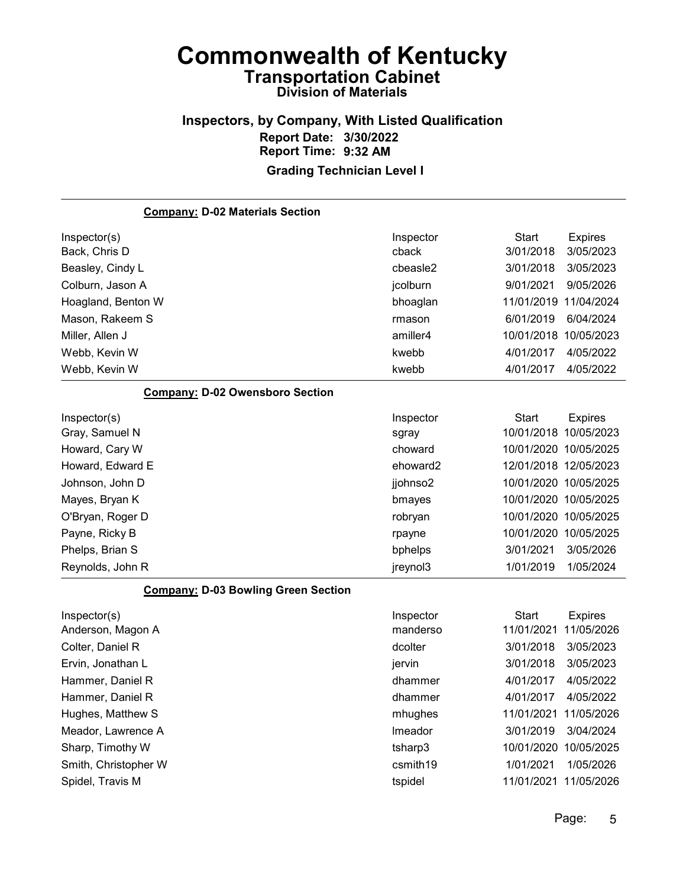#### Inspectors, by Company, With Listed Qualification Report Date: 3/30/2022 Report Time: 9:32 AM Grading Technician Level I

Company: D-02 Materials Section Inspector(s) **Inspector** Start Expires Back, Chris D cback 3/01/2018 3/05/2023 Beasley, Cindy L cbeasle2 3/01/2018 3/05/2023 Colburn, Jason A jcolburn 9/01/2021 9/05/2026 Hoagland, Benton W bhoaglan 11/01/2019 11/04/2024 Mason, Rakeem S rmason 6/01/2019 6/04/2024 Miller, Allen J amiller4 10/01/2018 10/05/2023 Webb, Kevin W kwebb 4/01/2017 4/05/2022 Webb, Kevin W kwebb 4/01/2017 4/05/2022 Company: D-02 Owensboro Section Inspector(s) **Inspector** Start Expires Gray, Samuel N sgray 10/01/2018 10/05/2023 Howard, Cary W choward 10/01/2020 10/05/2025 Howard, Edward E ehoward2 12/01/2018 12/05/2023 Johnson, John D jjohnso2 10/01/2020 10/05/2025 Mayes, Bryan K bmayes 10/01/2020 10/05/2025 O'Bryan, Roger D robryan 10/01/2020 10/05/2025 Payne, Ricky B rpayne 10/01/2020 10/05/2025 Phelps, Brian S bphelps 3/01/2021 3/05/2026 Reynolds, John R jreynol3 1/01/2019 1/05/2024 Company: D-03 Bowling Green Section Inspector(s) **Inspector** Start Expires Anderson, Magon A manderso 11/01/2021 11/05/2026 Colter, Daniel R dcolter 3/01/2018 3/05/2023 Ervin, Jonathan L jervin 3/01/2018 3/05/2023 Hammer, Daniel R dhammer 4/01/2017 4/05/2022 Hammer, Daniel R dhammer 4/01/2017 4/05/2022 Hughes, Matthew S mhughes 11/01/2021 11/05/2026 Meador, Lawrence A lmeador 3/01/2019 3/04/2024 Sharp, Timothy W tsharp3 10/01/2020 10/05/2025 Smith, Christopher W **csmith19** 2021 1/05/2026

Spidel, Travis M tspidel 11/01/2021 11/05/2026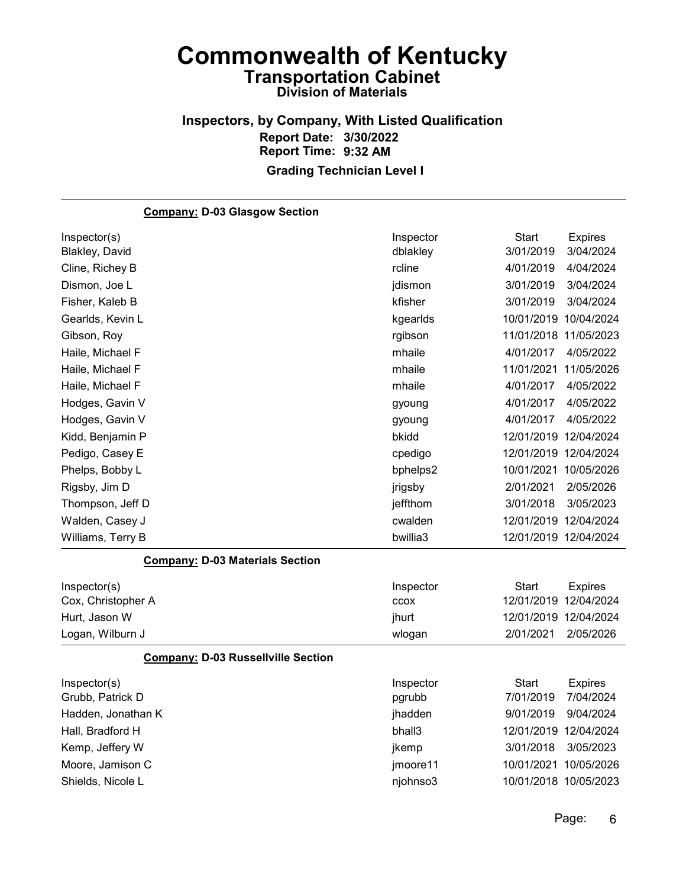#### Inspectors, by Company, With Listed Qualification Report Date: 3/30/2022 Report Time: 9:32 AM Grading Technician Level I

Company: D-03 Glasgow Section Inspector(s) **Inspector** Start Expires Blakley, David dblakley 3/01/2019 3/04/2024 Cline, Richey B rcline 4/01/2019 4/04/2024 Dismon, Joe L jdismon 3/01/2019 3/04/2024 Fisher, Kaleb B kfisher 3/01/2019 3/04/2024 Gearlds, Kevin L kgearlds 10/01/2019 10/04/2024 Gibson, Roy rgibson 11/01/2018 11/05/2023 Haile, Michael F mhaile 4/01/2017 4/05/2022 Haile, Michael F mhaile 11/01/2021 11/05/2026 Haile, Michael F mhaile 4/01/2017 4/05/2022 Hodges, Gavin V gyoung 4/01/2017 4/05/2022 Hodges, Gavin V gyoung 4/01/2017 4/05/2022 Kidd, Benjamin P bkidd 12/01/2019 12/04/2024 Pedigo, Casey E cpedigo 12/01/2019 12/04/2024 Phelps, Bobby L bphelps2 10/01/2021 10/05/2026 Rigsby, Jim D jrigsby 2/01/2021 2/05/2026 Thompson, Jeff D jeffthom 3/01/2018 3/05/2023 Walden, Casey J cwalden 12/01/2019 12/04/2024 Williams, Terry B **bwillia3** 12/01/2019 12/04/2024 Company: D-03 Materials Section Inspector(s) **Inspector** Start Expires Cox, Christopher A ccox 12/01/2019 12/04/2024 Hurt, Jason W jhurt 12/01/2019 12/04/2024 Logan, Wilburn J wlogan 2/01/2021 2/05/2026 Company: D-03 Russellville Section Inspector(s) **Inspector** Start Expires Grubb, Patrick D pgrubb 7/01/2019 7/04/2024 Hadden, Jonathan K jhadden 9/01/2019 9/04/2024 Hall, Bradford H bhall3 12/01/2019 12/04/2024 Kemp, Jeffery W **ikemp** 3/01/2018 3/05/2023 Moore, Jamison C jmoore11 10/01/2021 10/05/2026 Shields, Nicole L njohnso3 10/01/2018 10/05/2023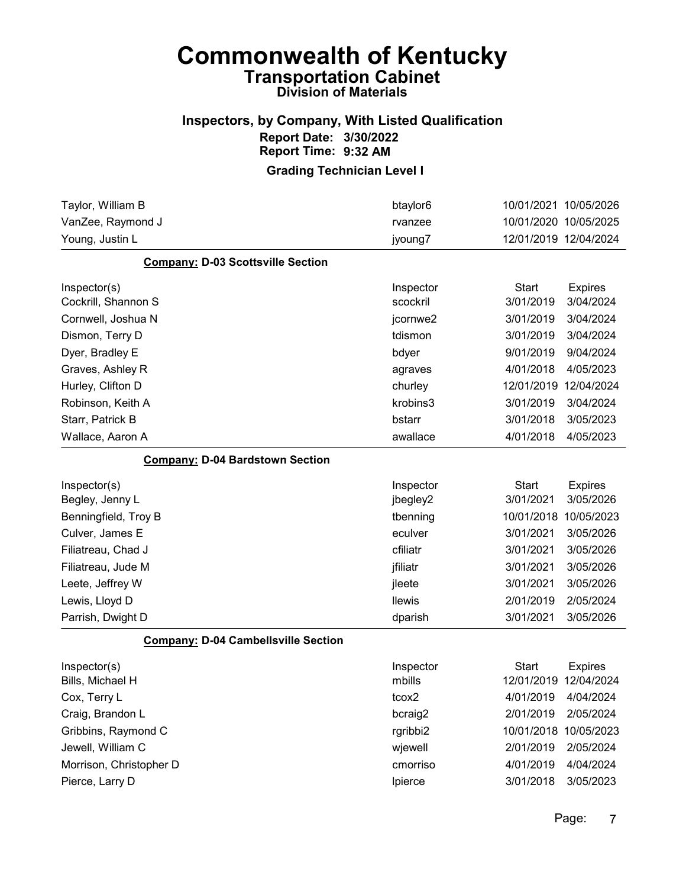#### Inspectors, by Company, With Listed Qualification Report Date: 3/30/2022 Report Time: 9:32 AM

| Taylor, William B                          | btaylor <sub>6</sub> |                     | 10/01/2021 10/05/2026 |
|--------------------------------------------|----------------------|---------------------|-----------------------|
| VanZee, Raymond J                          | rvanzee              |                     | 10/01/2020 10/05/2025 |
| Young, Justin L                            | jyoung7              |                     | 12/01/2019 12/04/2024 |
| <b>Company: D-03 Scottsville Section</b>   |                      |                     |                       |
| Inspector(s)                               | Inspector            | <b>Start</b>        | <b>Expires</b>        |
| Cockrill, Shannon S                        | scockril             | 3/01/2019           | 3/04/2024             |
| Cornwell, Joshua N                         | jcornwe2             | 3/01/2019           | 3/04/2024             |
| Dismon, Terry D                            | tdismon              | 3/01/2019           | 3/04/2024             |
| Dyer, Bradley E                            | bdyer                | 9/01/2019           | 9/04/2024             |
| Graves, Ashley R                           | agraves              | 4/01/2018           | 4/05/2023             |
| Hurley, Clifton D                          | churley              | 12/01/2019          | 12/04/2024            |
| Robinson, Keith A                          | krobins3             | 3/01/2019           | 3/04/2024             |
| Starr, Patrick B                           | bstarr               | 3/01/2018           | 3/05/2023             |
| Wallace, Aaron A                           | awallace             | 4/01/2018           | 4/05/2023             |
| <b>Company: D-04 Bardstown Section</b>     |                      |                     |                       |
| Inspector(s)                               | Inspector            | <b>Start</b>        | <b>Expires</b>        |
| Begley, Jenny L                            | jbegley2             | 3/01/2021           | 3/05/2026             |
| Benningfield, Troy B                       | tbenning             | 10/01/2018          | 10/05/2023            |
| Culver, James E                            | eculver              | 3/01/2021           | 3/05/2026             |
| Filiatreau, Chad J                         | cfiliatr             | 3/01/2021           | 3/05/2026             |
| Filiatreau, Jude M                         | jfiliatr             | 3/01/2021           | 3/05/2026             |
| Leete, Jeffrey W                           | jleete               | 3/01/2021           | 3/05/2026             |
| Lewis, Lloyd D                             | <b>llewis</b>        | 2/01/2019           | 2/05/2024             |
| Parrish, Dwight D                          | dparish              | 3/01/2021           | 3/05/2026             |
| <b>Company: D-04 Cambellsville Section</b> |                      |                     |                       |
| Inspector(s)                               | Inspector            | <b>Start</b>        | <b>Expires</b>        |
| Bills, Michael H                           | mbills               |                     | 12/01/2019 12/04/2024 |
| Cox, Terry L                               | tcox2                | 4/01/2019 4/04/2024 |                       |
| Craig, Brandon L                           | bcraig2              | 2/01/2019           | 2/05/2024             |
| Gribbins, Raymond C                        | rgribbi2             |                     | 10/01/2018 10/05/2023 |
| Jewell, William C                          | wjewell              | 2/01/2019           | 2/05/2024             |
| Morrison, Christopher D                    | cmorriso             | 4/01/2019           | 4/04/2024             |
| Pierce, Larry D                            | Ipierce              | 3/01/2018           | 3/05/2023             |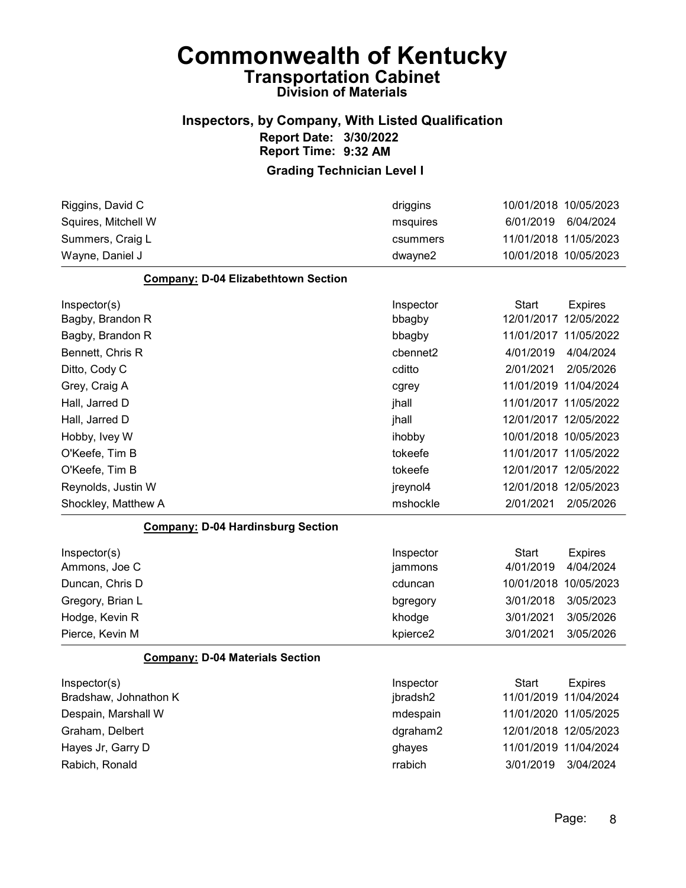#### Inspectors, by Company, With Listed Qualification Report Date: 3/30/2022 Report Time: 9:32 AM

| Riggins, David C                           | driggins  |                       | 10/01/2018 10/05/2023 |
|--------------------------------------------|-----------|-----------------------|-----------------------|
| Squires, Mitchell W                        | msquires  | 6/01/2019             | 6/04/2024             |
| Summers, Craig L                           | csummers  |                       | 11/01/2018 11/05/2023 |
| Wayne, Daniel J                            | dwayne2   |                       | 10/01/2018 10/05/2023 |
| <b>Company: D-04 Elizabethtown Section</b> |           |                       |                       |
| Inspector(s)                               | Inspector | Start                 | <b>Expires</b>        |
| Bagby, Brandon R                           | bbagby    |                       | 12/01/2017 12/05/2022 |
| Bagby, Brandon R                           | bbagby    |                       | 11/01/2017 11/05/2022 |
| Bennett, Chris R                           | cbennet2  | 4/01/2019             | 4/04/2024             |
| Ditto, Cody C                              | cditto    | 2/01/2021             | 2/05/2026             |
| Grey, Craig A                              | cgrey     |                       | 11/01/2019 11/04/2024 |
| Hall, Jarred D                             | jhall     | 11/01/2017 11/05/2022 |                       |
| Hall, Jarred D                             | jhall     |                       | 12/01/2017 12/05/2022 |
| Hobby, Ivey W                              | ihobby    |                       | 10/01/2018 10/05/2023 |
| O'Keefe, Tim B                             | tokeefe   |                       | 11/01/2017 11/05/2022 |
| O'Keefe, Tim B                             | tokeefe   |                       | 12/01/2017 12/05/2022 |
| Reynolds, Justin W                         | jreynol4  |                       | 12/01/2018 12/05/2023 |
| Shockley, Matthew A                        | mshockle  | 2/01/2021             | 2/05/2026             |
| <b>Company: D-04 Hardinsburg Section</b>   |           |                       |                       |
| Inspector(s)                               | Inspector | <b>Start</b>          | <b>Expires</b>        |
| Ammons, Joe C                              | jammons   | 4/01/2019             | 4/04/2024             |
| Duncan, Chris D                            | cduncan   |                       | 10/01/2018 10/05/2023 |
| Gregory, Brian L                           | bgregory  | 3/01/2018             | 3/05/2023             |
| Hodge, Kevin R                             | khodge    | 3/01/2021             | 3/05/2026             |
| Pierce, Kevin M                            | kpierce2  | 3/01/2021             | 3/05/2026             |
| <b>Company: D-04 Materials Section</b>     |           |                       |                       |
| Inspector(s)                               | Inspector | Start                 | <b>Expires</b>        |
| Bradshaw, Johnathon K                      | jbradsh2  |                       | 11/01/2019 11/04/2024 |
| Despain, Marshall W                        | mdespain  | 11/01/2020 11/05/2025 |                       |
| Graham, Delbert                            | dgraham2  |                       | 12/01/2018 12/05/2023 |
| Hayes Jr, Garry D                          | ghayes    |                       | 11/01/2019 11/04/2024 |
| Rabich, Ronald                             | rrabich   | 3/01/2019             | 3/04/2024             |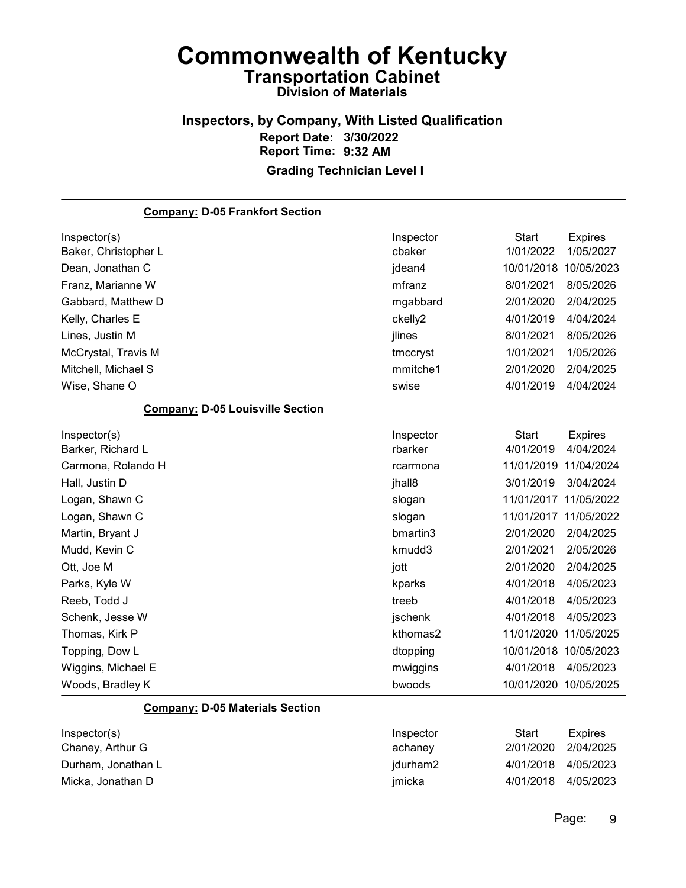#### Inspectors, by Company, With Listed Qualification Report Date: 3/30/2022 Report Time: 9:32 AM Grading Technician Level I

Company: D-05 Frankfort Section Inspector(s) **Inspector** Start Expires Baker, Christopher L cbaker 1/01/2022 1/05/2027 Dean, Jonathan C jdean4 10/01/2018 10/05/2023 Franz, Marianne W mfranz 8/01/2021 8/05/2026 Gabbard, Matthew D mgabbard 2/01/2020 2/04/2025 Kelly, Charles E **charles E** ckelly2 4/01/2019 4/04/2024 Lines, Justin M jlines 8/01/2021 8/05/2026 McCrystal, Travis M tmccryst 1/01/2021 1/05/2026 Mitchell, Michael S mmitche1 2/01/2020 2/04/2025 Wise, Shane O swise 4/01/2019 4/04/2024 Company: D-05 Louisville Section Inspector(s) **Inspector** Start Expires Barker, Richard L rbarker 4/01/2019 4/04/2024 Carmona, Rolando H rcarmona 11/01/2019 11/04/2024 Hall, Justin D jhall8 3/01/2019 3/04/2024 Logan, Shawn C slogan 11/01/2017 11/05/2022 Logan, Shawn C slogan 11/01/2017 11/05/2022 Martin, Bryant J bmartin3 2/01/2020 2/04/2025 Mudd, Kevin C kmudd3 2/01/2021 2/05/2026 Ott, Joe M jott 2/01/2020 2/04/2025 Parks, Kyle W kparks 4/01/2018 4/05/2023 Reeb, Todd J treeb 4/01/2018 4/05/2023 Schenk, Jesse W jschenk 4/01/2018 4/05/2023 Thomas, Kirk P kthomas2 11/01/2020 11/05/2025 Topping, Dow L dtopping 10/01/2018 10/05/2023 Wiggins, Michael E matches and the multiple multiple multiple multiple multiple and the 4/01/2018 4/05/2023 Woods, Bradley K bwoods 10/01/2020 10/05/2025 Company: D-05 Materials Section Inspector(s) **Inspector** Start Expires Chaney, Arthur G achaney 2/01/2020 2/04/2025

|                    | ----------- |                     | _____ |
|--------------------|-------------|---------------------|-------|
| Chaney, Arthur G   | achaney     | 2/01/2020 2/04/2025 |       |
| Durham, Jonathan L | jdurham2    | 4/01/2018 4/05/2023 |       |
| Micka, Jonathan D  | imicka      | 4/01/2018 4/05/2023 |       |
|                    |             |                     |       |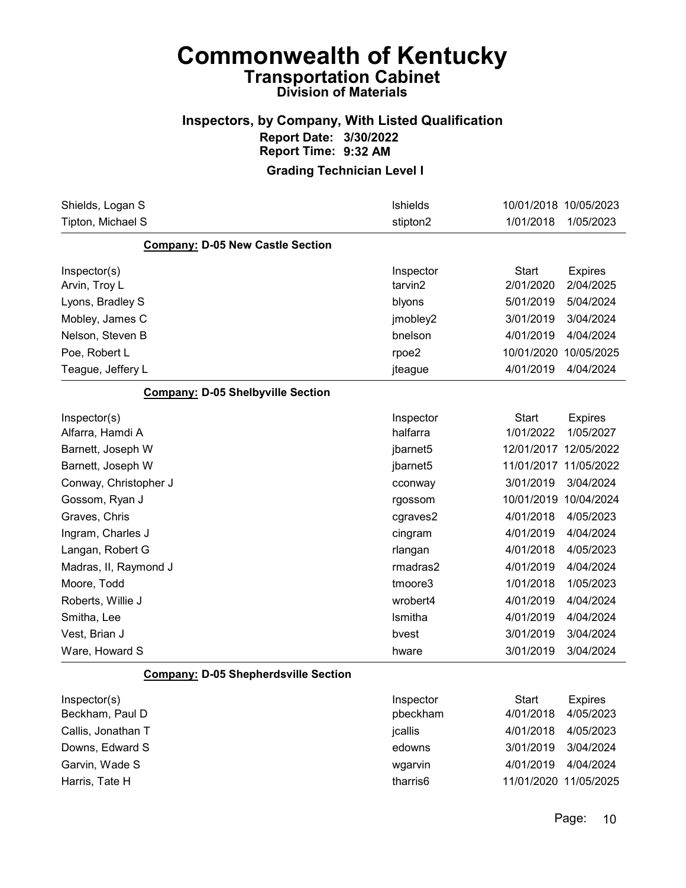#### Inspectors, by Company, With Listed Qualification Report Date: 3/30/2022 Report Time: 9:32 AM

Grading Technician Level I

| Shields, Logan S                            | <b>Ishields</b>      | 10/01/2018 10/05/2023 |                |
|---------------------------------------------|----------------------|-----------------------|----------------|
| Tipton, Michael S                           | stipton2             | 1/01/2018             | 1/05/2023      |
| <b>Company: D-05 New Castle Section</b>     |                      |                       |                |
| Inspector(s)                                | Inspector            | <b>Start</b>          | <b>Expires</b> |
| Arvin, Troy L                               | tarvin2              | 2/01/2020             | 2/04/2025      |
| Lyons, Bradley S                            | blyons               | 5/01/2019             | 5/04/2024      |
| Mobley, James C                             | jmobley2             | 3/01/2019             | 3/04/2024      |
| Nelson, Steven B                            | bnelson              | 4/01/2019             | 4/04/2024      |
| Poe, Robert L                               | rpoe2                | 10/01/2020            | 10/05/2025     |
| Teague, Jeffery L                           | jteague              | 4/01/2019             | 4/04/2024      |
| <b>Company: D-05 Shelbyville Section</b>    |                      |                       |                |
| Inspector(s)                                | Inspector            | <b>Start</b>          | <b>Expires</b> |
| Alfarra, Hamdi A                            | halfarra             | 1/01/2022             | 1/05/2027      |
| Barnett, Joseph W                           | jbarnet <sub>5</sub> | 12/01/2017            | 12/05/2022     |
| Barnett, Joseph W                           | jbarnet <sub>5</sub> | 11/01/2017            | 11/05/2022     |
| Conway, Christopher J                       | cconway              | 3/01/2019             | 3/04/2024      |
| Gossom, Ryan J                              | rgossom              | 10/01/2019            | 10/04/2024     |
| Graves, Chris                               | cgraves2             | 4/01/2018             | 4/05/2023      |
| Ingram, Charles J                           | cingram              | 4/01/2019             | 4/04/2024      |
| Langan, Robert G                            | rlangan              | 4/01/2018             | 4/05/2023      |
| Madras, II, Raymond J                       | rmadras2             | 4/01/2019             | 4/04/2024      |
| Moore, Todd                                 | tmoore3              | 1/01/2018             | 1/05/2023      |
| Roberts, Willie J                           | wrobert4             | 4/01/2019             | 4/04/2024      |
| Smitha, Lee                                 | Ismitha              | 4/01/2019             | 4/04/2024      |
| Vest, Brian J                               | bvest                | 3/01/2019             | 3/04/2024      |
| Ware, Howard S                              | hware                | 3/01/2019             | 3/04/2024      |
| <b>Company: D-05 Shepherdsville Section</b> |                      |                       |                |
| Inspector(s)                                | Inspector            | <b>Start</b>          | <b>Expires</b> |
| Beckham, Paul D                             | pbeckham             | 4/01/2018             | 4/05/2023      |
| Callis, Jonathan T                          | jcallis              | 4/01/2018             | 4/05/2023      |
| Downs, Edward S                             | edowns               | 3/01/2019             | 3/04/2024      |
| Garvin, Wade S                              | wgarvin              | 4/01/2019             | 4/04/2024      |
| Harris, Tate H                              | tharris6             | 11/01/2020 11/05/2025 |                |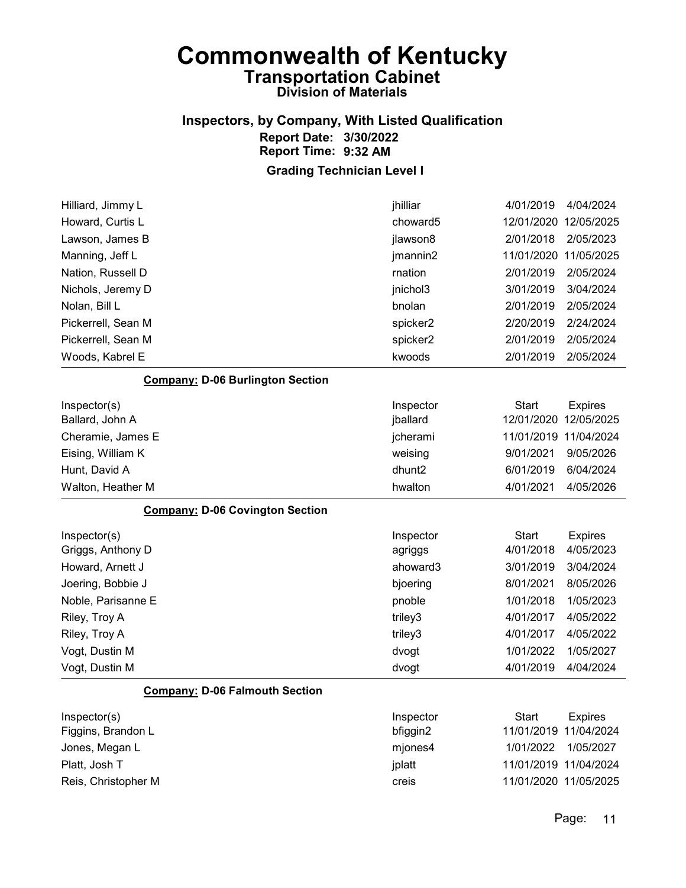#### Inspectors, by Company, With Listed Qualification Report Date: 3/30/2022 Report Time: 9:32 AM Grading Technician Level I

Hilliard, Jimmy L jhilliar 4/01/2019 4/04/2024 Howard, Curtis L choward5 12/01/2020 12/05/2025 Lawson, James B jlawson8 2/01/2018 2/05/2023 Manning, Jeff L jmannin2 11/01/2020 11/05/2025 Nation, Russell D rnation 2/01/2019 2/05/2024 Nichols, Jeremy D jnichol3 3/01/2019 3/04/2024 Nolan, Bill L bnolan 2/01/2019 2/05/2024 Pickerrell, Sean M spicker2 2/20/2019 2/24/2024 Pickerrell, Sean M spicker2 2/01/2019 2/05/2024 Woods, Kabrel E kwoods 2/01/2019 2/05/2024 Company: D-06 Burlington Section Inspector(s) **Inspector** Start Expires Ballard, John A jballard 12/01/2020 12/05/2025 Cheramie, James E jcherami 11/01/2019 11/04/2024 Eising, William K weising 9/01/2021 9/05/2026 Hunt, David A dhunt2 6/01/2019 6/04/2024 Walton, Heather M hwalton 4/01/2021 4/05/2026 Company: D-06 Covington Section Inspector(s) **Inspector** Start Expires Griggs, Anthony D agriggs 4/01/2018 4/05/2023 Howard, Arnett J ahoward3 3/01/2019 3/04/2024 Joering, Bobbie J bjoering 8/01/2021 8/05/2026 Noble, Parisanne E pnoble 1/01/2018 1/05/2023 Riley, Troy A triley3 4/01/2017 4/05/2022 Riley, Troy A triley3 4/01/2017 4/05/2022 Vogt, Dustin M dvogt 1/01/2022 1/05/2027 Vogt, Dustin M dvogt 4/01/2019 4/04/2024 Company: D-06 Falmouth Section Inspector(s) **Inspector** Start Expires Figgins, Brandon L bfiggin2 11/01/2019 11/04/2024 Jones, Megan L mjones4 1/01/2022 1/05/2027 Platt, Josh T jplatt 11/01/2019 11/04/2024

Reis, Christopher M creis 11/01/2020 11/05/2025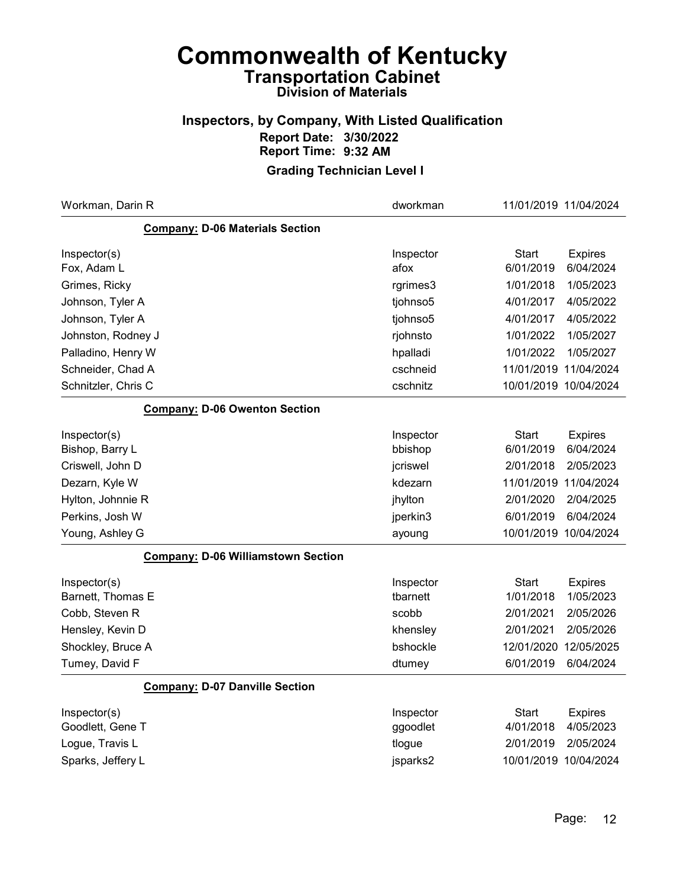### Inspectors, by Company, With Listed Qualification Report Date: 3/30/2022 Report Time: 9:32 AM

| Workman, Darin R                          | dworkman          | 11/01/2019 11/04/2024 |                             |
|-------------------------------------------|-------------------|-----------------------|-----------------------------|
| <b>Company: D-06 Materials Section</b>    |                   |                       |                             |
| Inspector(s)<br>Fox, Adam L               | Inspector<br>afox | Start<br>6/01/2019    | <b>Expires</b><br>6/04/2024 |
| Grimes, Ricky                             | rgrimes3          | 1/01/2018             | 1/05/2023                   |
| Johnson, Tyler A                          | tjohnso5          | 4/01/2017             | 4/05/2022                   |
| Johnson, Tyler A                          | tjohnso5          | 4/01/2017             | 4/05/2022                   |
| Johnston, Rodney J                        | rjohnsto          | 1/01/2022             | 1/05/2027                   |
| Palladino, Henry W                        | hpalladi          | 1/01/2022             | 1/05/2027                   |
| Schneider, Chad A                         | cschneid          | 11/01/2019            | 11/04/2024                  |
| Schnitzler, Chris C                       | cschnitz          | 10/01/2019 10/04/2024 |                             |
| <b>Company: D-06 Owenton Section</b>      |                   |                       |                             |
| Inspector(s)                              | Inspector         | Start                 | <b>Expires</b>              |
| Bishop, Barry L                           | bbishop           | 6/01/2019             | 6/04/2024                   |
| Criswell, John D                          | jcriswel          | 2/01/2018             | 2/05/2023                   |
| Dezarn, Kyle W                            | kdezarn           | 11/01/2019            | 11/04/2024                  |
| Hylton, Johnnie R                         | jhylton           | 2/01/2020             | 2/04/2025                   |
| Perkins, Josh W                           | jperkin3          | 6/01/2019             | 6/04/2024                   |
| Young, Ashley G                           | ayoung            | 10/01/2019 10/04/2024 |                             |
| <b>Company: D-06 Williamstown Section</b> |                   |                       |                             |
| Inspector(s)                              | Inspector         | Start                 | <b>Expires</b>              |
| Barnett, Thomas E                         | tbarnett          | 1/01/2018             | 1/05/2023                   |
| Cobb, Steven R                            | scobb             | 2/01/2021             | 2/05/2026                   |
| Hensley, Kevin D                          | khensley          | 2/01/2021             | 2/05/2026                   |
| Shockley, Bruce A                         | bshockle          | 12/01/2020            | 12/05/2025                  |
| Tumey, David F                            | dtumey            | 6/01/2019             | 6/04/2024                   |
| <b>Company: D-07 Danville Section</b>     |                   |                       |                             |
| Inspector(s)                              | Inspector         | <b>Start</b>          | <b>Expires</b>              |
| Goodlett, Gene T                          | ggoodlet          | 4/01/2018             | 4/05/2023                   |
| Logue, Travis L                           | tlogue            | 2/01/2019             | 2/05/2024                   |
| Sparks, Jeffery L                         | jsparks2          | 10/01/2019 10/04/2024 |                             |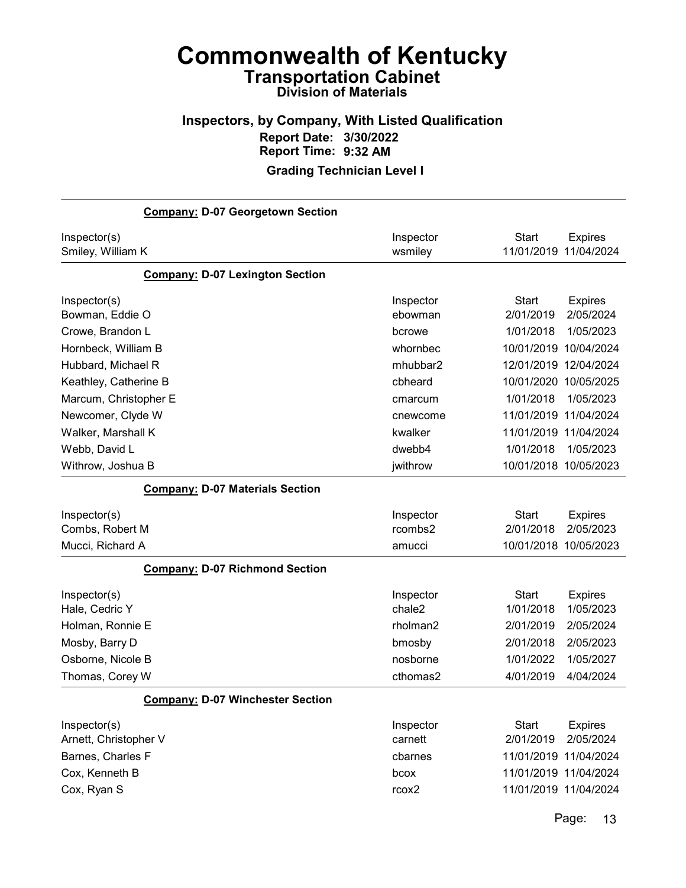### Inspectors, by Company, With Listed Qualification Report Date: 3/30/2022 Report Time: 9:32 AM

#### Grading Technician Level I

| <b>Company: D-07 Georgetown Section</b> |                   |                                |
|-----------------------------------------|-------------------|--------------------------------|
| Inspector(s)                            | Inspector         | Start<br><b>Expires</b>        |
| Smiley, William K                       | wsmiley           | 11/01/2019<br>11/04/2024       |
| <b>Company: D-07 Lexington Section</b>  |                   |                                |
| Inspector(s)                            | Inspector         | <b>Start</b><br><b>Expires</b> |
| Bowman, Eddie O                         | ebowman           | 2/01/2019<br>2/05/2024         |
| Crowe, Brandon L                        | bcrowe            | 1/01/2018<br>1/05/2023         |
| Hornbeck, William B                     | whornbec          | 10/01/2019<br>10/04/2024       |
| Hubbard, Michael R                      | mhubbar2          | 12/01/2019<br>12/04/2024       |
| Keathley, Catherine B                   | cbheard           | 10/01/2020<br>10/05/2025       |
| Marcum, Christopher E                   | cmarcum           | 1/01/2018<br>1/05/2023         |
| Newcomer, Clyde W                       | cnewcome          | 11/01/2019<br>11/04/2024       |
| Walker, Marshall K                      | kwalker           | 11/01/2019 11/04/2024          |
| Webb, David L                           | dwebb4            | 1/01/2018<br>1/05/2023         |
| Withrow, Joshua B                       | jwithrow          | 10/01/2018 10/05/2023          |
| <b>Company: D-07 Materials Section</b>  |                   |                                |
| Inspector(s)                            | Inspector         | <b>Start</b><br><b>Expires</b> |
| Combs, Robert M                         | rcombs2           | 2/01/2018<br>2/05/2023         |
| Mucci, Richard A                        | amucci            | 10/01/2018 10/05/2023          |
| <b>Company: D-07 Richmond Section</b>   |                   |                                |
| Inspector(s)                            | Inspector         | <b>Start</b><br><b>Expires</b> |
| Hale, Cedric Y                          | chale2            | 1/01/2018<br>1/05/2023         |
| Holman, Ronnie E                        | rholman2          | 2/05/2024<br>2/01/2019         |
| Mosby, Barry D                          | bmosby            | 2/01/2018<br>2/05/2023         |
| Osborne, Nicole B                       | nosborne          | 1/01/2022<br>1/05/2027         |
| Thomas, Corey W                         | cthomas2          | 4/01/2019<br>4/04/2024         |
| <b>Company: D-07 Winchester Section</b> |                   |                                |
| Inspector(s)                            | Inspector         | <b>Start</b><br><b>Expires</b> |
| Arnett, Christopher V                   | carnett           | 2/05/2024<br>2/01/2019         |
| Barnes, Charles F                       | cbarnes           | 11/01/2019 11/04/2024          |
| Cox, Kenneth B                          | bcox              | 11/01/2019 11/04/2024          |
| Cox, Ryan S                             | rcox <sub>2</sub> | 11/01/2019 11/04/2024          |
|                                         |                   |                                |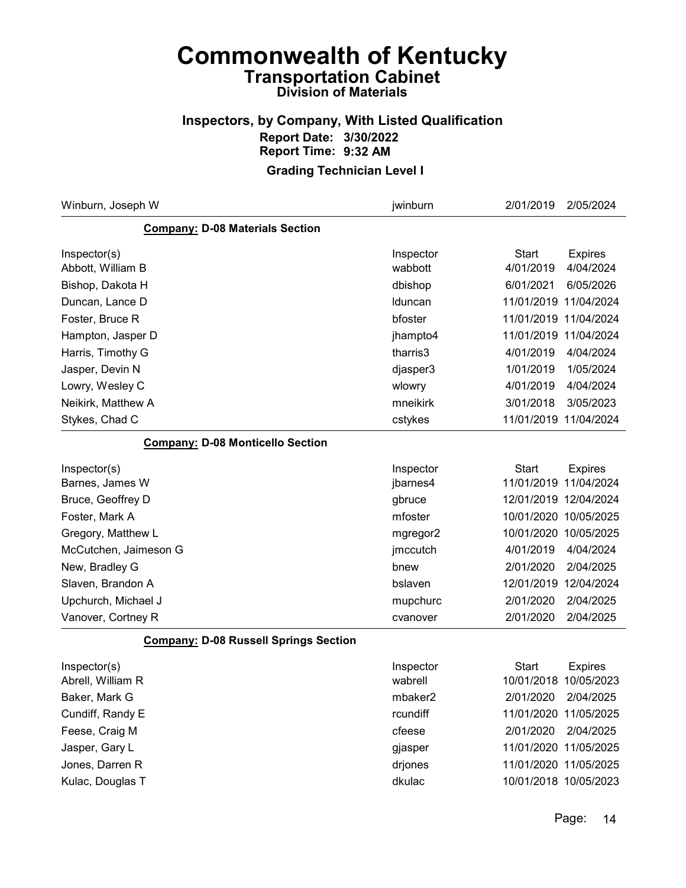#### Inspectors, by Company, With Listed Qualification Report Date: 3/30/2022 Report Time: 9:32 AM

| Winburn, Joseph W                            | jwinburn             | 2/01/2019                 | 2/05/2024                   |
|----------------------------------------------|----------------------|---------------------------|-----------------------------|
| <b>Company: D-08 Materials Section</b>       |                      |                           |                             |
| Inspector(s)<br>Abbott, William B            | Inspector<br>wabbott | <b>Start</b><br>4/01/2019 | <b>Expires</b><br>4/04/2024 |
| Bishop, Dakota H                             | dbishop              | 6/01/2021                 | 6/05/2026                   |
| Duncan, Lance D                              | Iduncan              | 11/01/2019                | 11/04/2024                  |
| Foster, Bruce R                              | bfoster              | 11/01/2019 11/04/2024     |                             |
| Hampton, Jasper D                            | jhampto4             | 11/01/2019 11/04/2024     |                             |
| Harris, Timothy G                            | tharris3             | 4/01/2019                 | 4/04/2024                   |
| Jasper, Devin N                              | djasper3             | 1/01/2019                 | 1/05/2024                   |
| Lowry, Wesley C                              | wlowry               | 4/01/2019                 | 4/04/2024                   |
| Neikirk, Matthew A                           | mneikirk             | 3/01/2018                 | 3/05/2023                   |
| Stykes, Chad C                               | cstykes              | 11/01/2019 11/04/2024     |                             |
| <b>Company: D-08 Monticello Section</b>      |                      |                           |                             |
| Inspector(s)                                 | Inspector            | <b>Start</b>              | <b>Expires</b>              |
| Barnes, James W                              | jbarnes4             | 11/01/2019                | 11/04/2024                  |
| Bruce, Geoffrey D                            | gbruce               | 12/01/2019 12/04/2024     |                             |
| Foster, Mark A                               | mfoster              | 10/01/2020 10/05/2025     |                             |
| Gregory, Matthew L                           | mgregor2             | 10/01/2020 10/05/2025     |                             |
| McCutchen, Jaimeson G                        | jmccutch             | 4/01/2019                 | 4/04/2024                   |
| New, Bradley G                               | bnew                 | 2/01/2020                 | 2/04/2025                   |
| Slaven, Brandon A                            | bslaven              | 12/01/2019                | 12/04/2024                  |
| Upchurch, Michael J                          | mupchurc             | 2/01/2020                 | 2/04/2025                   |
| Vanover, Cortney R                           | cvanover             | 2/01/2020                 | 2/04/2025                   |
| <b>Company: D-08 Russell Springs Section</b> |                      |                           |                             |
| Inspector(s)                                 | Inspector            | <b>Start</b>              | <b>Expires</b>              |
| Abrell, William R                            | wabrell              | 10/01/2018 10/05/2023     |                             |
| Baker, Mark G                                | mbaker2              | 2/01/2020                 | 2/04/2025                   |
| Cundiff, Randy E                             | rcundiff             | 11/01/2020 11/05/2025     |                             |
| Feese, Craig M                               | cfeese               | 2/01/2020                 | 2/04/2025                   |
| Jasper, Gary L                               | gjasper              | 11/01/2020 11/05/2025     |                             |
| Jones, Darren R                              | drjones              | 11/01/2020 11/05/2025     |                             |
| Kulac, Douglas T                             | dkulac               | 10/01/2018 10/05/2023     |                             |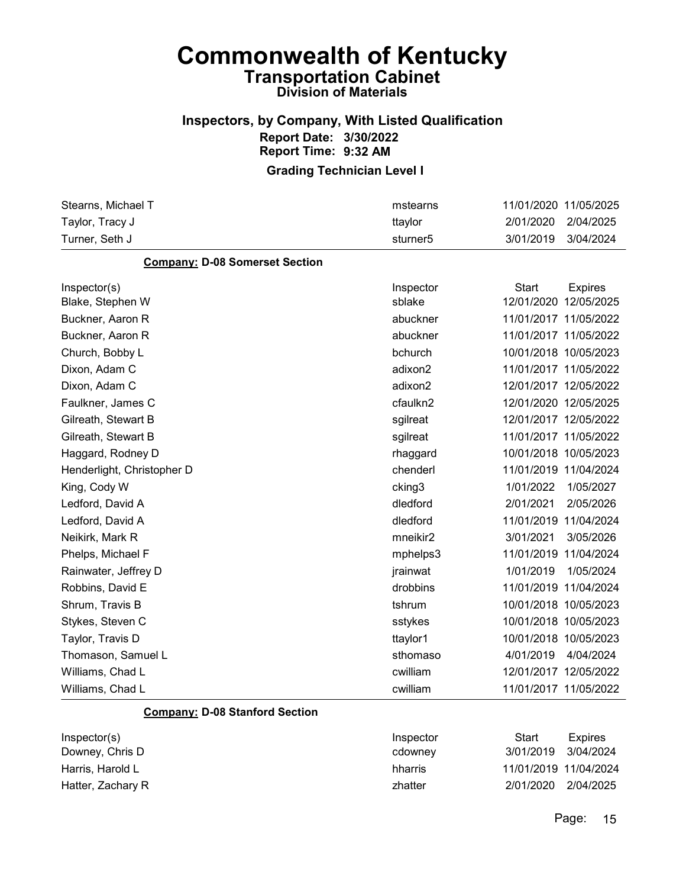#### Inspectors, by Company, With Listed Qualification Report Date: 3/30/2022 Report Time: 9:32 AM

| Stearns, Michael T                    | mstearns             |              | 11/01/2020 11/05/2025 |
|---------------------------------------|----------------------|--------------|-----------------------|
| Taylor, Tracy J                       | ttaylor              | 2/01/2020    | 2/04/2025             |
| Turner, Seth J                        | sturner <sub>5</sub> | 3/01/2019    | 3/04/2024             |
| <b>Company: D-08 Somerset Section</b> |                      |              |                       |
| Inspector(s)                          | Inspector            | <b>Start</b> | <b>Expires</b>        |
| Blake, Stephen W                      | sblake               |              | 12/01/2020 12/05/2025 |
| Buckner, Aaron R                      | abuckner             |              | 11/01/2017 11/05/2022 |
| Buckner, Aaron R                      | abuckner             |              | 11/01/2017 11/05/2022 |
| Church, Bobby L                       | bchurch              |              | 10/01/2018 10/05/2023 |
| Dixon, Adam C                         | adixon2              |              | 11/01/2017 11/05/2022 |
| Dixon, Adam C                         | adixon2              |              | 12/01/2017 12/05/2022 |
| Faulkner, James C                     | cfaulkn2             |              | 12/01/2020 12/05/2025 |
| Gilreath, Stewart B                   | sgilreat             |              | 12/01/2017 12/05/2022 |
| Gilreath, Stewart B                   | sgilreat             |              | 11/01/2017 11/05/2022 |
| Haggard, Rodney D                     | rhaggard             |              | 10/01/2018 10/05/2023 |
| Henderlight, Christopher D            | chenderl             |              | 11/01/2019 11/04/2024 |
| King, Cody W                          | cking3               | 1/01/2022    | 1/05/2027             |
| Ledford, David A                      | dledford             | 2/01/2021    | 2/05/2026             |
| Ledford, David A                      | dledford             |              | 11/01/2019 11/04/2024 |
| Neikirk, Mark R                       | mneikir2             | 3/01/2021    | 3/05/2026             |
| Phelps, Michael F                     | mphelps3             |              | 11/01/2019 11/04/2024 |
| Rainwater, Jeffrey D                  | jrainwat             | 1/01/2019    | 1/05/2024             |
| Robbins, David E                      | drobbins             |              | 11/01/2019 11/04/2024 |
| Shrum, Travis B                       | tshrum               |              | 10/01/2018 10/05/2023 |
| Stykes, Steven C                      | sstykes              |              | 10/01/2018 10/05/2023 |
| Taylor, Travis D                      | ttaylor1             |              | 10/01/2018 10/05/2023 |
| Thomason, Samuel L                    | sthomaso             | 4/01/2019    | 4/04/2024             |
| Williams, Chad L                      | cwilliam             |              | 12/01/2017 12/05/2022 |
| Williams, Chad L                      | cwilliam             |              | 11/01/2017 11/05/2022 |
| <b>Company: D-08 Stanford Section</b> |                      |              |                       |
| Inspector(s)                          | Inspector            | <b>Start</b> | <b>Expires</b>        |
| Downey, Chris D                       | cdowney              | 3/01/2019    | 3/04/2024             |
| Harris, Harold L                      | hharris              |              | 11/01/2019 11/04/2024 |
| Hatter, Zachary R                     | zhatter              | 2/01/2020    | 2/04/2025             |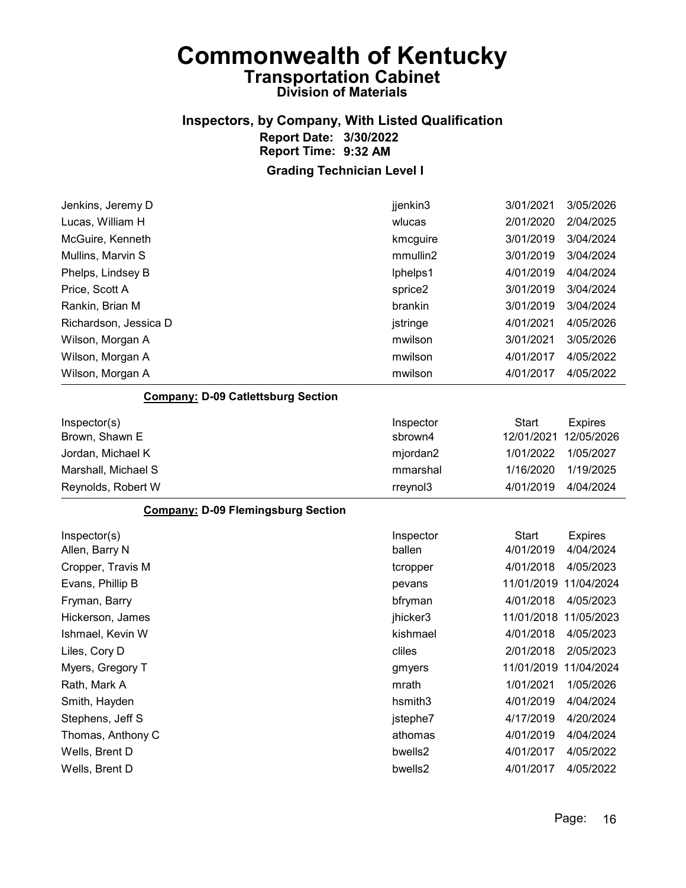### Inspectors, by Company, With Listed Qualification Report Date: 3/30/2022 Report Time: 9:32 AM

| Jenkins, Jeremy D                         | jjenkin3  | 3/01/2021             | 3/05/2026              |
|-------------------------------------------|-----------|-----------------------|------------------------|
| Lucas, William H                          | wlucas    | 2/01/2020             | 2/04/2025              |
| McGuire, Kenneth                          | kmcguire  | 3/01/2019             | 3/04/2024              |
| Mullins, Marvin S                         | mmullin2  | 3/01/2019             | 3/04/2024              |
| Phelps, Lindsey B                         | lphelps1  | 4/01/2019             | 4/04/2024              |
| Price, Scott A                            | sprice2   | 3/01/2019             | 3/04/2024              |
| Rankin, Brian M                           | brankin   | 3/01/2019             | 3/04/2024              |
| Richardson, Jessica D                     | jstringe  | 4/01/2021             | 4/05/2026              |
| Wilson, Morgan A                          | mwilson   | 3/01/2021             | 3/05/2026              |
| Wilson, Morgan A                          | mwilson   | 4/01/2017             | 4/05/2022              |
| Wilson, Morgan A                          | mwilson   | 4/01/2017             | 4/05/2022              |
| <b>Company: D-09 Catlettsburg Section</b> |           |                       |                        |
| Inspector(s)                              | Inspector | <b>Start</b>          | <b>Expires</b>         |
| Brown, Shawn E                            | sbrown4   | 12/01/2021            | 12/05/2026             |
| Jordan, Michael K                         | mjordan2  | 1/01/2022             | 1/05/2027              |
| Marshall, Michael S                       | mmarshal  | 1/16/2020             | 1/19/2025              |
| Reynolds, Robert W                        | rreynol3  | 4/01/2019             | 4/04/2024              |
| <b>Company: D-09 Flemingsburg Section</b> |           |                       |                        |
| Inspector(s)                              | Inspector | Start                 | <b>Expires</b>         |
| Allen, Barry N                            | ballen    | 4/01/2019             | 4/04/2024              |
| Cropper, Travis M                         | tcropper  | 4/01/2018             | 4/05/2023              |
| Evans, Phillip B                          | pevans    | 11/01/2019 11/04/2024 |                        |
| Fryman, Barry                             | bfryman   | 4/01/2018             | 4/05/2023              |
| Hickerson, James                          | jhicker3  | 11/01/2018            | 11/05/2023             |
| Ishmael, Kevin W                          | kishmael  | 4/01/2018             | 4/05/2023              |
| Liles, Cory D                             | cliles    | 2/01/2018             | 2/05/2023              |
| Myers, Gregory T                          |           |                       |                        |
| Rath, Mark A                              | gmyers    | 11/01/2019            | 11/04/2024             |
|                                           | mrath     | 1/01/2021             | 1/05/2026              |
| Smith, Hayden                             | hsmith3   | 4/01/2019             | 4/04/2024              |
| Stephens, Jeff S                          | jstephe7  | 4/17/2019             | 4/20/2024              |
| Thomas, Anthony C                         | athomas   | 4/01/2019             | 4/04/2024              |
| Wells, Brent D<br>Wells, Brent D          | bwells2   | 4/01/2017             | 4/05/2022<br>4/05/2022 |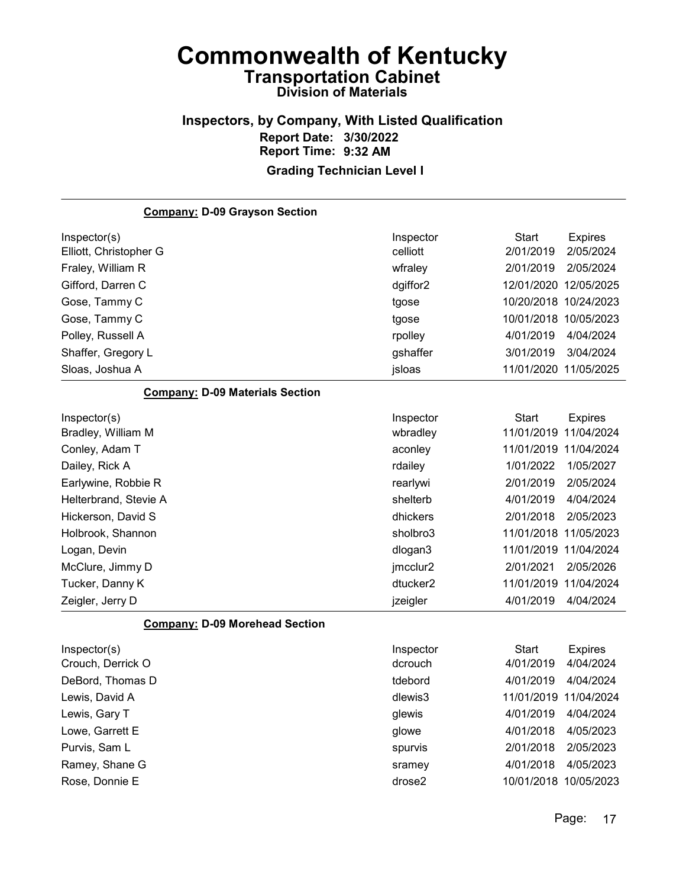#### Inspectors, by Company, With Listed Qualification Report Date: 3/30/2022 Report Time: 9:32 AM Grading Technician Level I

Company: D-09 Grayson Section Inspector(s) **Inspector** Start Expires Elliott, Christopher G celliott 2/01/2019 2/05/2024 Fraley, William R wfraley 2/01/2019 2/05/2024 Gifford, Darren C dgiffor2 12/01/2020 12/05/2025 Gose, Tammy C tgose 10/20/2018 10/24/2023 Gose, Tammy C **tgose** 10/01/2018 10/05/2023 Polley, Russell A rpolley 4/01/2019 4/04/2024 Shaffer, Gregory L gshaffer 3/01/2019 3/04/2024 Sloas, Joshua A jsloas 11/01/2020 11/05/2025 Company: D-09 Materials Section Inspector(s) **Inspector** Start Expires Bradley, William M wbradley 11/01/2019 11/04/2024 Conley, Adam T aconley 11/01/2019 11/04/2024 Dailey, Rick A rdailey 1/01/2022 1/05/2027 Earlywine, Robbie R rearlywi 2/01/2019 2/05/2024 Helterbrand, Stevie A shelterb  $4/01/2019$  4/04/2024 Hickerson, David S dhickers 2/01/2018 2/05/2023 Holbrook, Shannon sholbro3 11/01/2018 11/05/2023 Logan, Devin dlogan3 11/01/2019 11/04/2024 McClure, Jimmy D **imes and the set of the set of the set of the set of the set of the set of the set of the set of the set of the set of the set of the set of the set of the set of the set of the set of the set of the set** Tucker, Danny K dtucker2 11/01/2019 11/04/2024 Zeigler, Jerry D jzeigler 4/01/2019 4/04/2024 Company: D-09 Morehead Section Inspector(s) **Inspector** Start Expires

| $InS$             | <b>Inspector</b> | Start     | Expires               |
|-------------------|------------------|-----------|-----------------------|
| Crouch, Derrick O | dcrouch          | 4/01/2019 | 4/04/2024             |
| DeBord, Thomas D  | tdebord          | 4/01/2019 | 4/04/2024             |
| Lewis, David A    | dlewis3          |           | 11/01/2019 11/04/2024 |
| Lewis, Gary T     | glewis           | 4/01/2019 | 4/04/2024             |
| Lowe, Garrett E   | glowe            | 4/01/2018 | 4/05/2023             |
| Purvis, Sam L     | spurvis          | 2/01/2018 | 2/05/2023             |
| Ramey, Shane G    | sramey           | 4/01/2018 | 4/05/2023             |
| Rose, Donnie E    | drose2           |           | 10/01/2018 10/05/2023 |
|                   |                  |           |                       |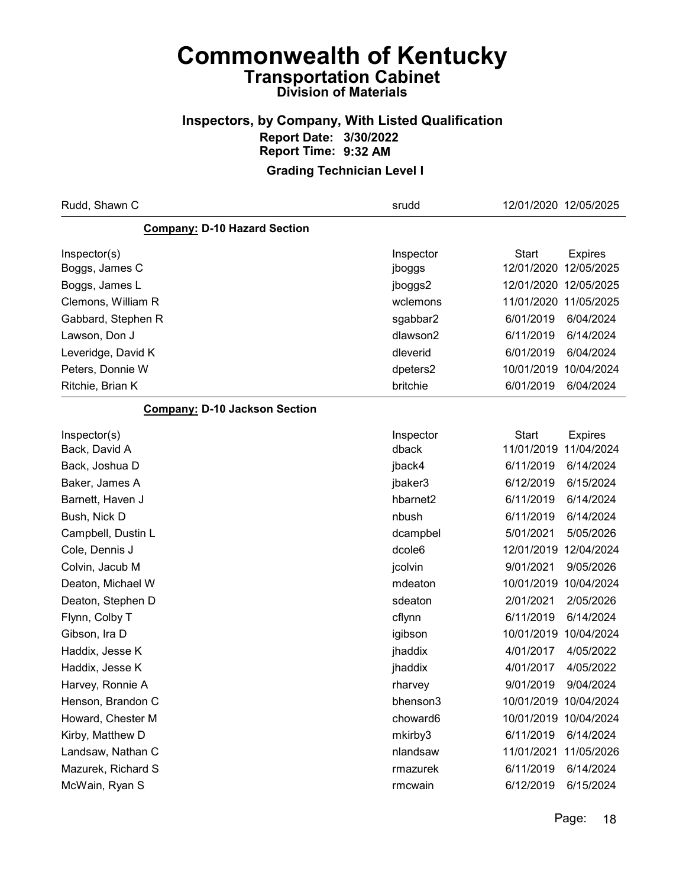### Inspectors, by Company, With Listed Qualification Report Date: 3/30/2022 Report Time: 9:32 AM

| Rudd, Shawn C                        | srudd     |              | 12/01/2020 12/05/2025 |
|--------------------------------------|-----------|--------------|-----------------------|
| <b>Company: D-10 Hazard Section</b>  |           |              |                       |
| Inspector(s)                         | Inspector | <b>Start</b> | <b>Expires</b>        |
| Boggs, James C                       | jboggs    | 12/01/2020   | 12/05/2025            |
| Boggs, James L                       | jboggs2   |              | 12/01/2020 12/05/2025 |
| Clemons, William R                   | wclemons  |              | 11/01/2020 11/05/2025 |
| Gabbard, Stephen R                   | sgabbar2  | 6/01/2019    | 6/04/2024             |
| Lawson, Don J                        | dlawson2  | 6/11/2019    | 6/14/2024             |
| Leveridge, David K                   | dleverid  | 6/01/2019    | 6/04/2024             |
| Peters, Donnie W                     | dpeters2  | 10/01/2019   | 10/04/2024            |
| Ritchie, Brian K                     | britchie  | 6/01/2019    | 6/04/2024             |
| <b>Company: D-10 Jackson Section</b> |           |              |                       |
| Inspector(s)                         | Inspector | <b>Start</b> | <b>Expires</b>        |
| Back, David A                        | dback     | 11/01/2019   | 11/04/2024            |
| Back, Joshua D                       | jback4    | 6/11/2019    | 6/14/2024             |
| Baker, James A                       | jbaker3   | 6/12/2019    | 6/15/2024             |
| Barnett, Haven J                     | hbarnet2  | 6/11/2019    | 6/14/2024             |
| Bush, Nick D                         | nbush     | 6/11/2019    | 6/14/2024             |
| Campbell, Dustin L                   | dcampbel  | 5/01/2021    | 5/05/2026             |
| Cole, Dennis J                       | dcole6    | 12/01/2019   | 12/04/2024            |
| Colvin, Jacub M                      | jcolvin   | 9/01/2021    | 9/05/2026             |
| Deaton, Michael W                    | mdeaton   | 10/01/2019   | 10/04/2024            |
| Deaton, Stephen D                    | sdeaton   | 2/01/2021    | 2/05/2026             |
| Flynn, Colby T                       | cflynn    | 6/11/2019    | 6/14/2024             |
| Gibson, Ira D                        | igibson   | 10/01/2019   | 10/04/2024            |
| Haddix, Jesse K                      | jhaddix   | 4/01/2017    | 4/05/2022             |
| Haddix, Jesse K                      | jhaddix   | 4/01/2017    | 4/05/2022             |
| Harvey, Ronnie A                     | rharvey   | 9/01/2019    | 9/04/2024             |
| Henson, Brandon C                    | bhenson3  |              | 10/01/2019 10/04/2024 |
| Howard, Chester M                    | choward6  |              | 10/01/2019 10/04/2024 |
| Kirby, Matthew D                     | mkirby3   | 6/11/2019    | 6/14/2024             |
| Landsaw, Nathan C                    | nlandsaw  | 11/01/2021   | 11/05/2026            |
| Mazurek, Richard S                   | rmazurek  | 6/11/2019    | 6/14/2024             |
| McWain, Ryan S                       | rmcwain   | 6/12/2019    | 6/15/2024             |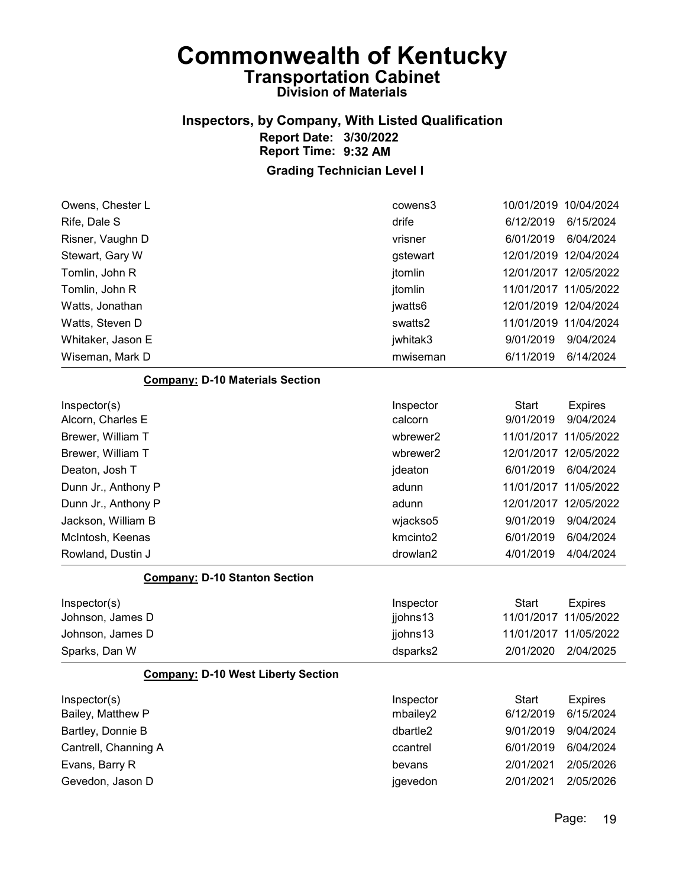#### Inspectors, by Company, With Listed Qualification Report Date: 3/30/2022 Report Time: 9:32 AM

| Owens, Chester L                          | cowens3              | 10/01/2019 10/04/2024 |                |
|-------------------------------------------|----------------------|-----------------------|----------------|
| Rife, Dale S                              | drife                | 6/12/2019             | 6/15/2024      |
| Risner, Vaughn D                          | vrisner              | 6/01/2019             | 6/04/2024      |
| Stewart, Gary W                           | gstewart             | 12/01/2019 12/04/2024 |                |
| Tomlin, John R                            | jtomlin              | 12/01/2017 12/05/2022 |                |
| Tomlin, John R                            | jtomlin              | 11/01/2017 11/05/2022 |                |
| Watts, Jonathan                           | jwatts6              | 12/01/2019 12/04/2024 |                |
| Watts, Steven D                           | swatts2              | 11/01/2019 11/04/2024 |                |
| Whitaker, Jason E                         | jwhitak3             | 9/01/2019             | 9/04/2024      |
| Wiseman, Mark D                           | mwiseman             | 6/11/2019             | 6/14/2024      |
| <b>Company: D-10 Materials Section</b>    |                      |                       |                |
| Inspector(s)                              | Inspector            | <b>Start</b>          | <b>Expires</b> |
| Alcorn, Charles E                         | calcorn              | 9/01/2019             | 9/04/2024      |
| Brewer, William T                         | wbrewer2             | 11/01/2017 11/05/2022 |                |
| Brewer, William T                         | wbrewer2             | 12/01/2017 12/05/2022 |                |
| Deaton, Josh T                            | jdeaton              | 6/01/2019             | 6/04/2024      |
| Dunn Jr., Anthony P                       | adunn                | 11/01/2017 11/05/2022 |                |
| Dunn Jr., Anthony P                       | adunn                | 12/01/2017 12/05/2022 |                |
| Jackson, William B                        | wjackso5             | 9/01/2019             | 9/04/2024      |
| McIntosh, Keenas                          | kmcinto <sub>2</sub> | 6/01/2019             | 6/04/2024      |
| Rowland, Dustin J                         | drowlan2             | 4/01/2019             | 4/04/2024      |
| <b>Company: D-10 Stanton Section</b>      |                      |                       |                |
| Inspector(s)                              | Inspector            | <b>Start</b>          | <b>Expires</b> |
| Johnson, James D                          | jjohns13             | 11/01/2017            | 11/05/2022     |
| Johnson, James D                          | jjohns13             | 11/01/2017 11/05/2022 |                |
| Sparks, Dan W                             | dsparks2             | 2/01/2020             | 2/04/2025      |
| <b>Company: D-10 West Liberty Section</b> |                      |                       |                |
| Inspector(s)                              | Inspector            | <b>Start</b>          | <b>Expires</b> |
| Bailey, Matthew P                         | mbailey2             | 6/12/2019             | 6/15/2024      |
| Bartley, Donnie B                         | dbartle2             | 9/01/2019             | 9/04/2024      |
| Cantrell, Channing A                      | ccantrel             | 6/01/2019             | 6/04/2024      |
| Evans, Barry R                            | bevans               | 2/01/2021             | 2/05/2026      |
| Gevedon, Jason D                          | jgevedon             | 2/01/2021             | 2/05/2026      |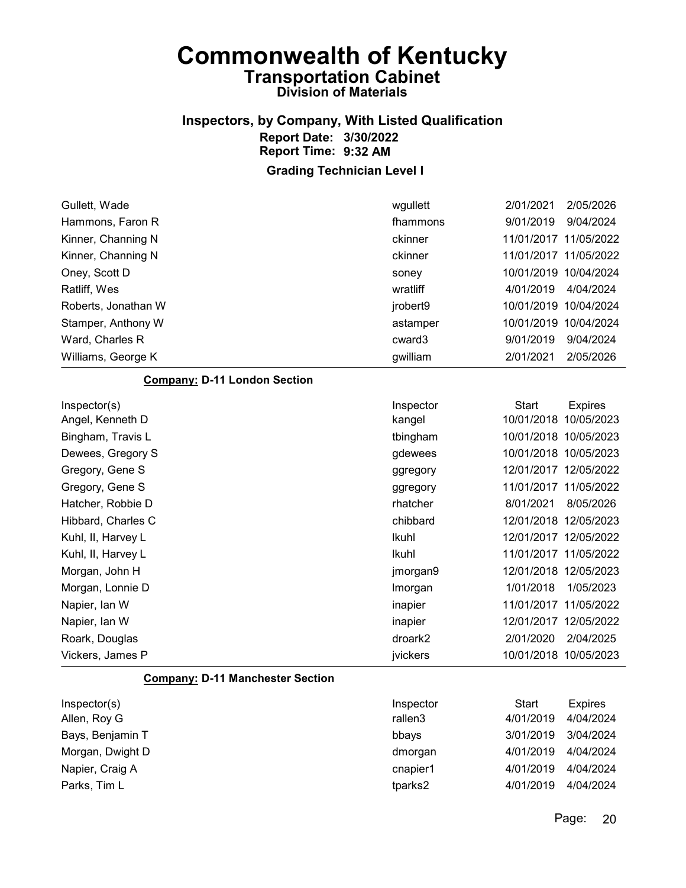### Inspectors, by Company, With Listed Qualification Report Date: 3/30/2022 Report Time: 9:32 AM

| Gullett, Wade                           | wgullett  | 2/01/2021    | 2/05/2026             |
|-----------------------------------------|-----------|--------------|-----------------------|
| Hammons, Faron R                        | fhammons  | 9/01/2019    | 9/04/2024             |
| Kinner, Channing N                      | ckinner   |              | 11/01/2017 11/05/2022 |
| Kinner, Channing N                      | ckinner   |              | 11/01/2017 11/05/2022 |
| Oney, Scott D                           | soney     |              | 10/01/2019 10/04/2024 |
| Ratliff, Wes                            | wratliff  | 4/01/2019    | 4/04/2024             |
| Roberts, Jonathan W                     | jrobert9  |              | 10/01/2019 10/04/2024 |
| Stamper, Anthony W                      | astamper  |              | 10/01/2019 10/04/2024 |
| Ward, Charles R                         | cward3    | 9/01/2019    | 9/04/2024             |
| Williams, George K                      | gwilliam  | 2/01/2021    | 2/05/2026             |
| <b>Company: D-11 London Section</b>     |           |              |                       |
| Inspector(s)                            | Inspector | <b>Start</b> | <b>Expires</b>        |
| Angel, Kenneth D                        | kangel    |              | 10/01/2018 10/05/2023 |
| Bingham, Travis L                       | tbingham  |              | 10/01/2018 10/05/2023 |
| Dewees, Gregory S                       | gdewees   |              | 10/01/2018 10/05/2023 |
| Gregory, Gene S                         | ggregory  |              | 12/01/2017 12/05/2022 |
| Gregory, Gene S                         | ggregory  |              | 11/01/2017 11/05/2022 |
| Hatcher, Robbie D                       | rhatcher  | 8/01/2021    | 8/05/2026             |
| Hibbard, Charles C                      | chibbard  |              | 12/01/2018 12/05/2023 |
| Kuhl, II, Harvey L                      | Ikuhl     |              | 12/01/2017 12/05/2022 |
| Kuhl, II, Harvey L                      | Ikuhl     |              | 11/01/2017 11/05/2022 |
| Morgan, John H                          | jmorgan9  |              | 12/01/2018 12/05/2023 |
| Morgan, Lonnie D                        | Imorgan   | 1/01/2018    | 1/05/2023             |
| Napier, Ian W                           | inapier   |              | 11/01/2017 11/05/2022 |
| Napier, Ian W                           | inapier   |              | 12/01/2017 12/05/2022 |
| Roark, Douglas                          | droark2   | 2/01/2020    | 2/04/2025             |
| Vickers, James P                        | jvickers  |              | 10/01/2018 10/05/2023 |
| <b>Company: D-11 Manchester Section</b> |           |              |                       |
| Inspector(s)                            | Inspector | <b>Start</b> | <b>Expires</b>        |
| Allen, Roy G                            | rallen3   | 4/01/2019    | 4/04/2024             |
| Bays, Benjamin T                        | bbays     | 3/01/2019    | 3/04/2024             |
| Morgan, Dwight D                        | dmorgan   | 4/01/2019    | 4/04/2024             |
| Napier, Craig A                         | cnapier1  | 4/01/2019    | 4/04/2024             |
| Parks, Tim L                            | tparks2   | 4/01/2019    | 4/04/2024             |
|                                         |           |              |                       |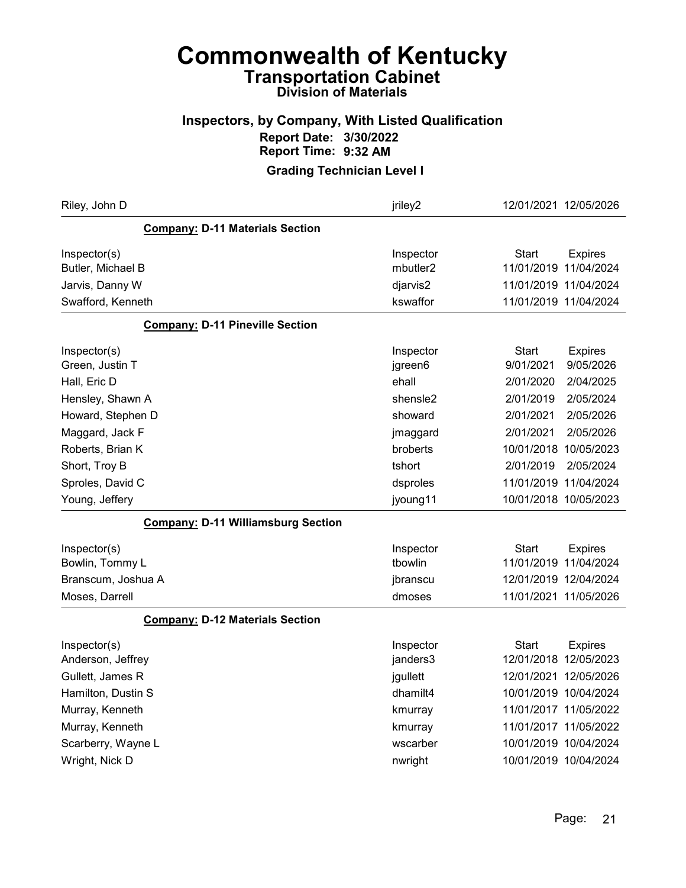### Inspectors, by Company, With Listed Qualification Report Date: 3/30/2022 Report Time: 9:32 AM

| Riley, John D                             | jriley2              | 12/01/2021 12/05/2026          |
|-------------------------------------------|----------------------|--------------------------------|
| <b>Company: D-11 Materials Section</b>    |                      |                                |
| Inspector(s)                              | Inspector            | <b>Start</b><br><b>Expires</b> |
| Butler, Michael B                         | mbutler <sub>2</sub> | 11/01/2019 11/04/2024          |
| Jarvis, Danny W                           | djarvis2             | 11/01/2019 11/04/2024          |
| Swafford, Kenneth                         | kswaffor             | 11/01/2019 11/04/2024          |
| <b>Company: D-11 Pineville Section</b>    |                      |                                |
| Inspector(s)                              | Inspector            | Start<br><b>Expires</b>        |
| Green, Justin T                           | jgreen6              | 9/01/2021<br>9/05/2026         |
| Hall, Eric D                              | ehall                | 2/01/2020<br>2/04/2025         |
| Hensley, Shawn A                          | shensle <sub>2</sub> | 2/01/2019<br>2/05/2024         |
| Howard, Stephen D                         | showard              | 2/01/2021<br>2/05/2026         |
| Maggard, Jack F                           | jmaggard             | 2/01/2021<br>2/05/2026         |
| Roberts, Brian K                          | broberts             | 10/01/2018 10/05/2023          |
| Short, Troy B                             | tshort               | 2/01/2019<br>2/05/2024         |
| Sproles, David C                          | dsproles             | 11/01/2019 11/04/2024          |
| Young, Jeffery                            | jyoung11             | 10/01/2018 10/05/2023          |
| <b>Company: D-11 Williamsburg Section</b> |                      |                                |
| Inspector(s)                              | Inspector            | Start<br><b>Expires</b>        |
| Bowlin, Tommy L                           | tbowlin              | 11/01/2019 11/04/2024          |
| Branscum, Joshua A                        | jbranscu             | 12/01/2019 12/04/2024          |
| Moses, Darrell                            | dmoses               | 11/01/2021 11/05/2026          |
| <b>Company: D-12 Materials Section</b>    |                      |                                |
| Inspector(s)                              | Inspector            | <b>Start</b><br><b>Expires</b> |
| Anderson, Jeffrey                         | janders3             | 12/01/2018 12/05/2023          |
| Gullett, James R                          | jgullett             | 12/01/2021 12/05/2026          |
| Hamilton, Dustin S                        | dhamilt4             | 10/01/2019 10/04/2024          |
| Murray, Kenneth                           | kmurray              | 11/01/2017 11/05/2022          |
| Murray, Kenneth                           | kmurray              | 11/01/2017 11/05/2022          |
| Scarberry, Wayne L                        | wscarber             | 10/01/2019 10/04/2024          |
| Wright, Nick D                            | nwright              | 10/01/2019 10/04/2024          |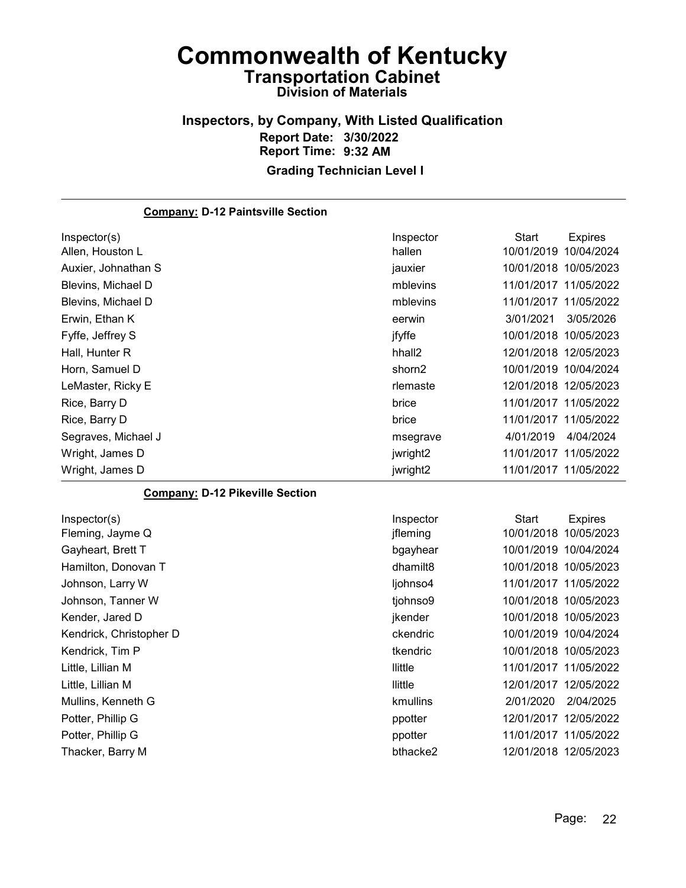#### Inspectors, by Company, With Listed Qualification Report Date: 3/30/2022 Report Time: 9:32 AM Grading Technician Level I

#### Company: D-12 Paintsville Section Inspector(s) **Inspector** Start Expires Allen, Houston L hallen 10/01/2019 10/04/2024 Auxier, Johnathan S and South Communication of the state is a jauxier and the 10/01/2018 10/05/2023 Blevins, Michael D mblevins 11/01/2017 11/05/2022 Blevins, Michael D mblevins 11/01/2017 11/05/2022 Erwin, Ethan K eerwin 3/01/2021 3/05/2026 Fyffe, Jeffrey S jfyffe 10/01/2018 10/05/2023 Hall, Hunter R hhall2 12/01/2018 12/05/2023 Horn, Samuel D **Shorn2** 10/01/2019 10/04/2024 LeMaster, Ricky E rlemaste 12/01/2018 12/05/2023 Rice, Barry D brice 11/01/2017 11/05/2022 Rice, Barry D brice 11/01/2017 11/05/2022 Segraves, Michael J msegrave 4/01/2019 4/04/2024 Wright, James D jwright2 11/01/2017 11/05/2022 Wright, James D jwright2 11/01/2017 11/05/2022 Company: D-12 Pikeville Section Inspector(s) **Inspector** Start Expires Fleming, Jayme Q **interpretent in the set of the set of the set of the set of the set of the set of the set of the set of the set of the set of the set of the set of the set of the set of the set of the set of the set of t** Gayheart, Brett T bgayhear 10/01/2019 10/04/2024 Hamilton, Donovan T **Matter and Type 10/01/2018 10/05/2023** dhamilt8 10/01/2018 10/05/2023 Johnson, Larry W ljohnso4 11/01/2017 11/05/2022 Johnson, Tanner W tjohnso9 10/01/2018 10/05/2023 Kender, Jared D **ikender** 10/01/2018 10/05/2023 Kendrick, Christopher D and the Christopher D ckendric 2010/01/2019 10/04/2024 Kendrick, Tim P tkendric 10/01/2018 10/05/2023 Little, Lillian M llittle 11/01/2017 11/05/2022 Little, Lillian M llittle 12/01/2017 12/05/2022 Mullins, Kenneth G kmullins 2/01/2020 2/04/2025 Potter, Phillip G ppotter 12/01/2017 12/05/2022 Potter, Phillip G ppotter 11/01/2017 11/05/2022

Thacker, Barry M bthacke2 12/01/2018 12/05/2023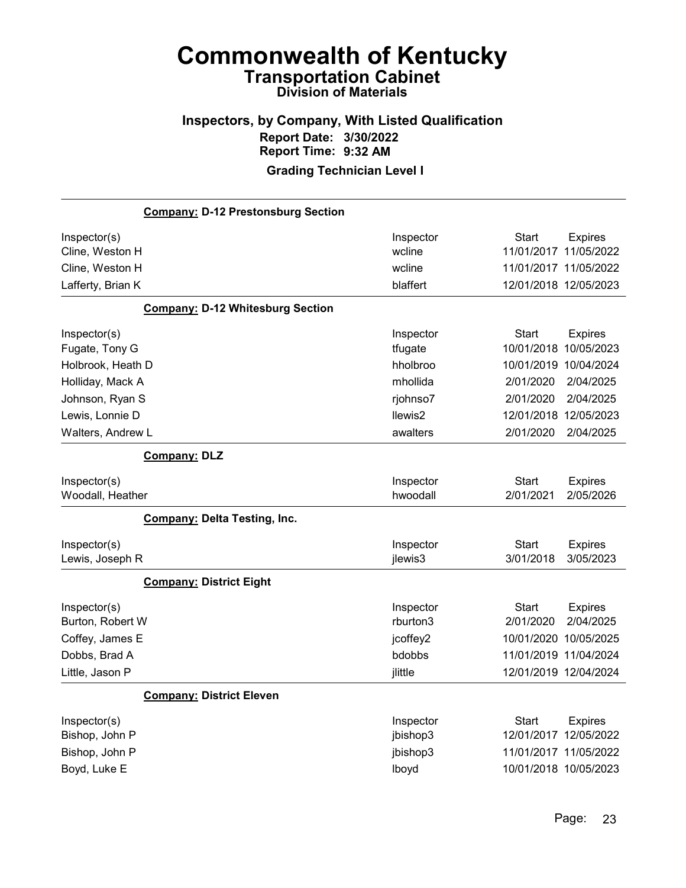#### Inspectors, by Company, With Listed Qualification Report Date: 3/30/2022 Report Time: 9:32 AM Grading Technician Level I

## Company: D-12 Prestonsburg Section Inspector(s) **Inspector** Start Expires Cline, Weston H wcline 11/01/2017 11/05/2022 Cline, Weston H wcline 11/01/2017 11/05/2022 Lafferty, Brian K blaffert 12/01/2018 12/05/2023 Company: D-12 Whitesburg Section Inspector(s) **Inspector** Start Expires Fugate, Tony G tfugate 10/01/2018 10/05/2023 Holbrook, Heath D hholbroo 10/01/2019 10/04/2024 Holliday, Mack A mhollida 2/01/2020 2/04/2025 Johnson, Ryan S rjohnso7 2/01/2020 2/04/2025 Lewis, Lonnie D llewis2 12/01/2018 12/05/2023 Walters, Andrew L awalters 2/01/2020 2/04/2025 Company: DLZ Inspector(s) **Inspector** Start Expires Woodall, Heather hwoodall 2/01/2021 2/05/2026 Company: Delta Testing, Inc. Inspector(s) **Inspector** Start Expires Lewis, Joseph R jlewis3 3/01/2018 3/05/2023 Company: District Eight Inspector(s) **Inspector** Start Expires Burton, Robert W rburton3 2/01/2020 2/04/2025 Coffey, James E jcoffey2 10/01/2020 10/05/2025 Dobbs, Brad A bdobbs 11/01/2019 11/04/2024 Little, Jason P jlittle 12/01/2019 12/04/2024 Company: District Eleven Inspector(s) **Inspector** Start Expires Bishop, John P jbishop3 12/01/2017 12/05/2022 Bishop, John P jbishop3 11/01/2017 11/05/2022 Boyd, Luke E lboyd 10/01/2018 10/05/2023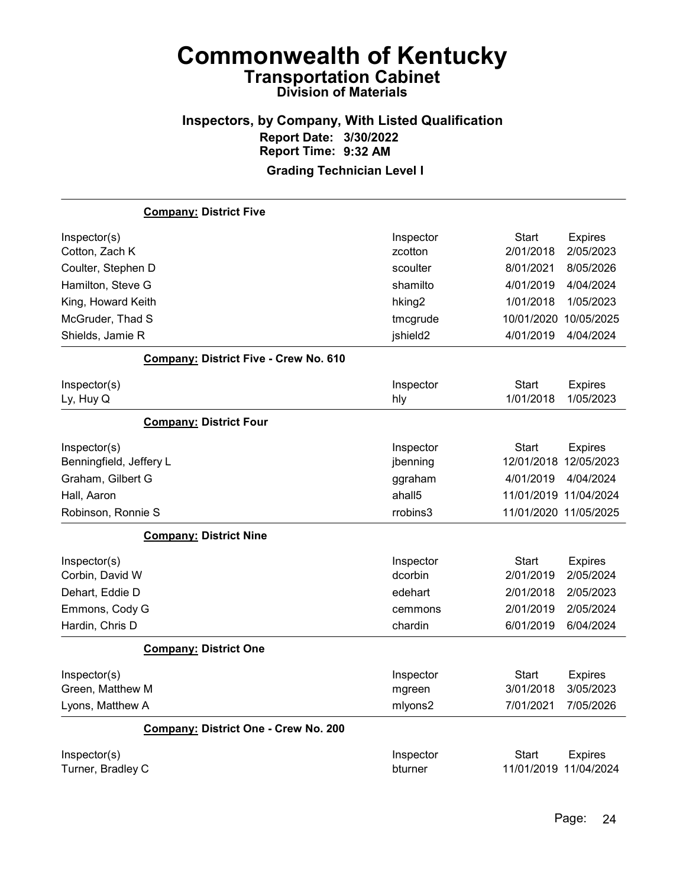## Inspectors, by Company, With Listed Qualification Report Date: 3/30/2022 Report Time: 9:32 AM

|                         | <b>Company: District Five</b>         |                    |                       |                       |
|-------------------------|---------------------------------------|--------------------|-----------------------|-----------------------|
| Inspector(s)            |                                       | Inspector          | <b>Start</b>          | <b>Expires</b>        |
| Cotton, Zach K          |                                       | zcotton            | 2/01/2018             | 2/05/2023             |
| Coulter, Stephen D      |                                       | scoulter           | 8/01/2021             | 8/05/2026             |
| Hamilton, Steve G       |                                       | shamilto           | 4/01/2019             | 4/04/2024             |
| King, Howard Keith      |                                       | hking <sub>2</sub> | 1/01/2018             | 1/05/2023             |
| McGruder, Thad S        |                                       | tmcgrude           | 10/01/2020            | 10/05/2025            |
| Shields, Jamie R        |                                       | jshield2           | 4/01/2019             | 4/04/2024             |
|                         | Company: District Five - Crew No. 610 |                    |                       |                       |
| Inspector(s)            |                                       | Inspector          | Start                 | <b>Expires</b>        |
| Ly, Huy Q               |                                       | hly                | 1/01/2018             | 1/05/2023             |
|                         | <b>Company: District Four</b>         |                    |                       |                       |
| Inspector(s)            |                                       | Inspector          | <b>Start</b>          | <b>Expires</b>        |
| Benningfield, Jeffery L |                                       | jbenning           |                       | 12/01/2018 12/05/2023 |
| Graham, Gilbert G       |                                       | ggraham            | 4/01/2019             | 4/04/2024             |
| Hall, Aaron             |                                       | ahall5             |                       | 11/01/2019 11/04/2024 |
| Robinson, Ronnie S      |                                       | rrobins3           |                       | 11/01/2020 11/05/2025 |
|                         | <b>Company: District Nine</b>         |                    |                       |                       |
| Inspector(s)            |                                       | Inspector          | Start                 | <b>Expires</b>        |
| Corbin, David W         |                                       | dcorbin            | 2/01/2019             | 2/05/2024             |
| Dehart, Eddie D         |                                       | edehart            | 2/01/2018             | 2/05/2023             |
| Emmons, Cody G          |                                       | cemmons            | 2/01/2019             | 2/05/2024             |
| Hardin, Chris D         |                                       | chardin            | 6/01/2019             | 6/04/2024             |
|                         | <b>Company: District One</b>          |                    |                       |                       |
| Inspector(s)            |                                       | Inspector          | Start                 | <b>Expires</b>        |
| Green, Matthew M        |                                       | mgreen             | 3/01/2018             | 3/05/2023             |
| Lyons, Matthew A        |                                       | mlyons2            | 7/01/2021             | 7/05/2026             |
|                         | Company: District One - Crew No. 200  |                    |                       |                       |
| Inspector(s)            |                                       | Inspector          | Start                 | <b>Expires</b>        |
| Turner, Bradley C       |                                       | bturner            | 11/01/2019 11/04/2024 |                       |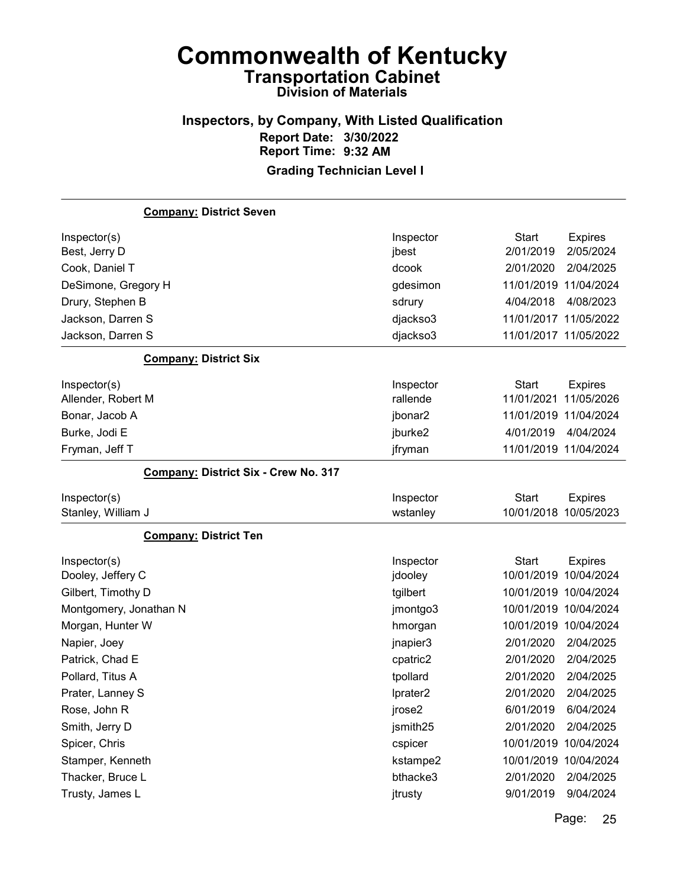## Inspectors, by Company, With Listed Qualification Report Date: 3/30/2022 Report Time: 9:32 AM

| <b>Company: District Seven</b>       |           |                       |                |
|--------------------------------------|-----------|-----------------------|----------------|
| Inspector(s)                         | Inspector | <b>Start</b>          | <b>Expires</b> |
| Best, Jerry D                        | jbest     | 2/01/2019             | 2/05/2024      |
| Cook, Daniel T                       | dcook     | 2/01/2020             | 2/04/2025      |
| DeSimone, Gregory H                  | gdesimon  | 11/01/2019 11/04/2024 |                |
| Drury, Stephen B                     | sdrury    | 4/04/2018             | 4/08/2023      |
| Jackson, Darren S                    | djackso3  | 11/01/2017 11/05/2022 |                |
| Jackson, Darren S                    | djackso3  | 11/01/2017 11/05/2022 |                |
| <b>Company: District Six</b>         |           |                       |                |
| Inspector(s)                         | Inspector | <b>Start</b>          | <b>Expires</b> |
| Allender, Robert M                   | rallende  | 11/01/2021            | 11/05/2026     |
| Bonar, Jacob A                       | jbonar2   | 11/01/2019 11/04/2024 |                |
| Burke, Jodi E                        | jburke2   | 4/01/2019             | 4/04/2024      |
| Fryman, Jeff T                       | jfryman   | 11/01/2019 11/04/2024 |                |
| Company: District Six - Crew No. 317 |           |                       |                |
| Inspector(s)                         | Inspector | <b>Start</b>          | <b>Expires</b> |
| Stanley, William J                   | wstanley  | 10/01/2018            | 10/05/2023     |
| <b>Company: District Ten</b>         |           |                       |                |
| Inspector(s)                         | Inspector | <b>Start</b>          | <b>Expires</b> |
| Dooley, Jeffery C                    | jdooley   | 10/01/2019            | 10/04/2024     |
| Gilbert, Timothy D                   | tgilbert  | 10/01/2019 10/04/2024 |                |
| Montgomery, Jonathan N               | jmontgo3  | 10/01/2019 10/04/2024 |                |
| Morgan, Hunter W                     | hmorgan   | 10/01/2019 10/04/2024 |                |
| Napier, Joey                         | jnapier3  | 2/01/2020             | 2/04/2025      |
| Patrick, Chad E                      | cpatric2  | 2/01/2020             | 2/04/2025      |
| Pollard, Titus A                     | tpollard  | 2/01/2020             | 2/04/2025      |
| Prater, Lanney S                     | Iprater2  | 2/01/2020             | 2/04/2025      |
| Rose, John R                         | jrose2    | 6/01/2019             | 6/04/2024      |
| Smith, Jerry D                       | jsmith25  | 2/01/2020             | 2/04/2025      |
| Spicer, Chris                        | cspicer   | 10/01/2019 10/04/2024 |                |
| Stamper, Kenneth                     | kstampe2  | 10/01/2019 10/04/2024 |                |
| Thacker, Bruce L                     | bthacke3  | 2/01/2020             | 2/04/2025      |
| Trusty, James L                      | jtrusty   | 9/01/2019             | 9/04/2024      |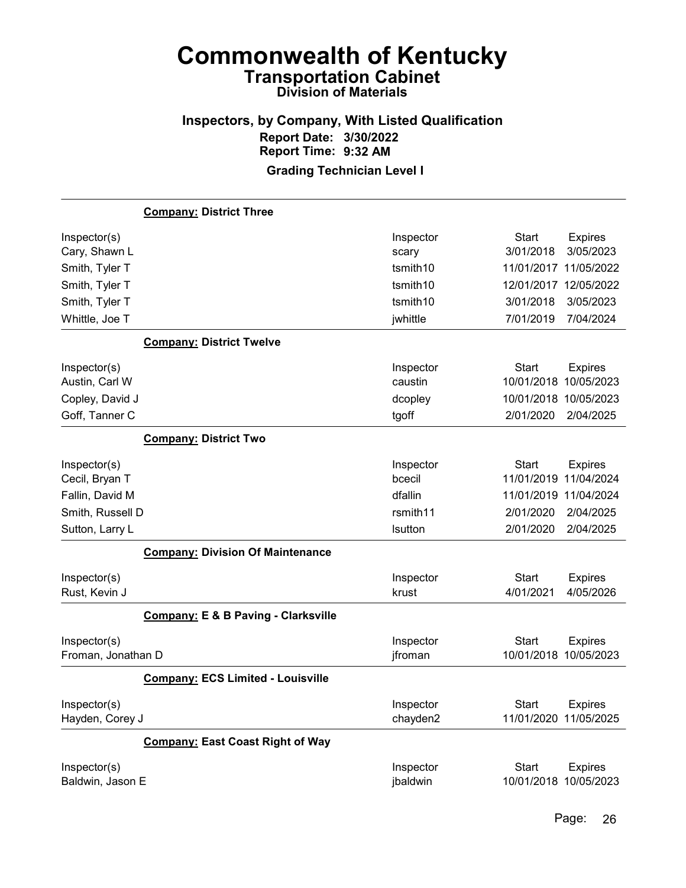## Inspectors, by Company, With Listed Qualification Report Date: 3/30/2022 Report Time: 9:32 AM

|                               | <b>Company: District Three</b>                 |                    |                                                          |
|-------------------------------|------------------------------------------------|--------------------|----------------------------------------------------------|
| Inspector(s)                  |                                                | Inspector          | Start<br><b>Expires</b>                                  |
| Cary, Shawn L                 |                                                | scary              | 3/01/2018<br>3/05/2023                                   |
| Smith, Tyler T                |                                                | tsmith10           | 11/01/2017<br>11/05/2022                                 |
| Smith, Tyler T                |                                                | tsmith10           | 12/01/2017 12/05/2022                                    |
| Smith, Tyler T                |                                                | tsmith10           | 3/01/2018<br>3/05/2023                                   |
| Whittle, Joe T                |                                                | jwhittle           | 7/01/2019<br>7/04/2024                                   |
|                               | <b>Company: District Twelve</b>                |                    |                                                          |
| Inspector(s)                  |                                                | Inspector          | <b>Start</b><br><b>Expires</b>                           |
| Austin, Carl W                |                                                | caustin            | 10/01/2018<br>10/05/2023                                 |
| Copley, David J               |                                                | dcopley            | 10/05/2023<br>10/01/2018                                 |
| Goff, Tanner C                |                                                | tgoff              | 2/01/2020<br>2/04/2025                                   |
|                               | <b>Company: District Two</b>                   |                    |                                                          |
| Inspector(s)                  |                                                | Inspector          | Start<br><b>Expires</b>                                  |
| Cecil, Bryan T                |                                                | bcecil             | 11/04/2024<br>11/01/2019                                 |
| Fallin, David M               |                                                | dfallin            | 11/04/2024<br>11/01/2019                                 |
| Smith, Russell D              |                                                | rsmith11           | 2/01/2020<br>2/04/2025                                   |
| Sutton, Larry L               |                                                | Isutton            | 2/01/2020<br>2/04/2025                                   |
|                               | <b>Company: Division Of Maintenance</b>        |                    |                                                          |
| Inspector(s)<br>Rust, Kevin J |                                                | Inspector<br>krust | <b>Start</b><br><b>Expires</b><br>4/05/2026<br>4/01/2021 |
|                               | <b>Company: E &amp; B Paving - Clarksville</b> |                    |                                                          |
| Inspector(s)                  |                                                | Inspector          | Start<br><b>Expires</b>                                  |
| Froman, Jonathan D            |                                                | jfroman            | 10/01/2018 10/05/2023                                    |
|                               | <b>Company: ECS Limited - Louisville</b>       |                    |                                                          |
| Inspector(s)                  |                                                | Inspector          | Start<br><b>Expires</b>                                  |
| Hayden, Corey J               |                                                | chayden2           | 11/01/2020 11/05/2025                                    |
|                               | <b>Company: East Coast Right of Way</b>        |                    |                                                          |
| Inspector(s)                  |                                                | Inspector          | Start<br><b>Expires</b>                                  |
| Baldwin, Jason E              |                                                | jbaldwin           | 10/01/2018 10/05/2023                                    |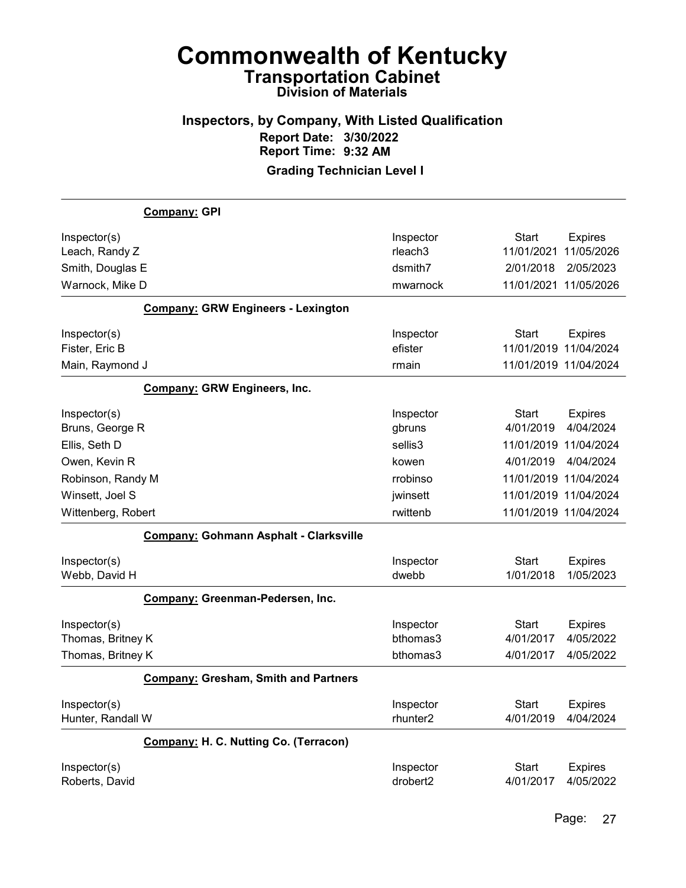#### Inspectors, by Company, With Listed Qualification Report Date: 3/30/2022 Report Time: 9:32 AM Grading Technician Level I

Company: GPI Inspector(s) **Inspector** Start Expires Leach, Randy Z **11/01/2021** 11/05/2026 Smith, Douglas E dsmith7 2/01/2018 2/05/2023 Warnock, Mike D mwarnock 11/01/2021 11/05/2026 Company: GRW Engineers - Lexington Inspector(s) **Inspector** Start Expires Fister, Eric B efister 11/01/2019 11/04/2024 Main, Raymond J rmain 11/01/2019 11/04/2024 Company: GRW Engineers, Inc. Inspector(s) **Inspector** Start Expires Bruns, George R gbruns 4/01/2019 4/04/2024 Ellis, Seth D sellis3 11/01/2019 11/04/2024 Owen, Kevin R kowen 4/01/2019 4/04/2024 Robinson, Randy M rrobinso 11/01/2019 11/04/2024 Winsett, Joel S **immediate 11/01/2019** 11/04/2024 Wittenberg, Robert **11/01/2019** 11/04/2024 Company: Gohmann Asphalt - Clarksville Inspector(s) **Inspector** Start Expires Webb, David H dwebb 1/01/2018 1/05/2023 Company: Greenman-Pedersen, Inc. Inspector(s) **Inspector** Start Expires Thomas, Britney K bthomas3 4/01/2017 4/05/2022 Thomas, Britney K bthomas3 4/01/2017 4/05/2022 Company: Gresham, Smith and Partners Inspector(s) **Inspector** Start Expires Hunter, Randall W rhunter2 4/01/2019 4/04/2024 Company: H. C. Nutting Co. (Terracon) Inspector(s) **Inspector** Start Expires Roberts, David drobert2 4/01/2017 4/05/2022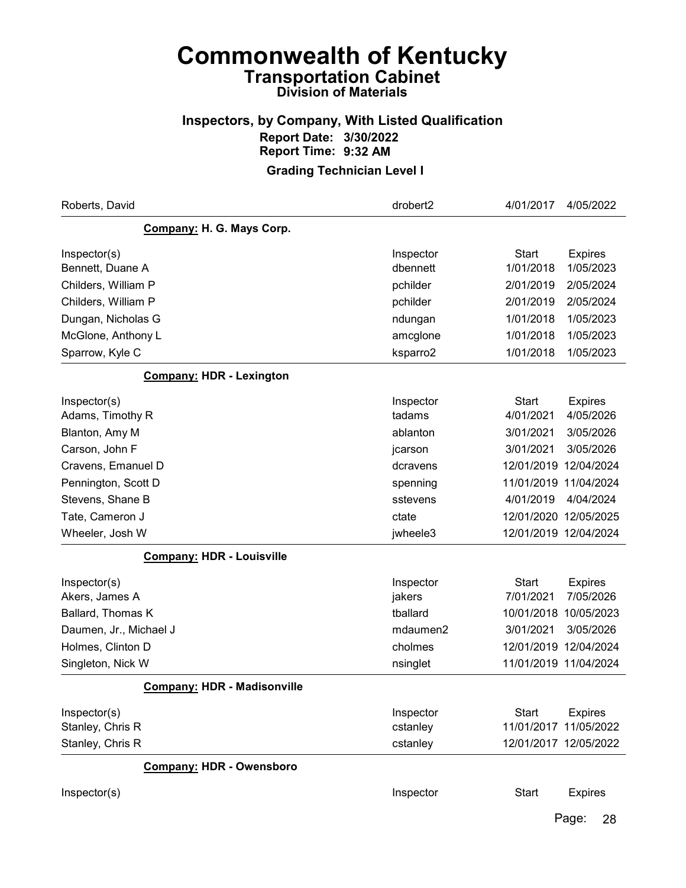### Inspectors, by Company, With Listed Qualification Report Date: 3/30/2022 Report Time: 9:32 AM

Grading Technician Level I

| Roberts, David                     | drobert2  | 4/01/2017             | 4/05/2022      |
|------------------------------------|-----------|-----------------------|----------------|
| Company: H. G. Mays Corp.          |           |                       |                |
| Inspector(s)                       | Inspector | <b>Start</b>          | <b>Expires</b> |
| Bennett, Duane A                   | dbennett  | 1/01/2018             | 1/05/2023      |
| Childers, William P                | pchilder  | 2/01/2019             | 2/05/2024      |
| Childers, William P                | pchilder  | 2/01/2019             | 2/05/2024      |
| Dungan, Nicholas G                 | ndungan   | 1/01/2018             | 1/05/2023      |
| McGlone, Anthony L                 | amcglone  | 1/01/2018             | 1/05/2023      |
| Sparrow, Kyle C                    | ksparro2  | 1/01/2018             | 1/05/2023      |
| <b>Company: HDR - Lexington</b>    |           |                       |                |
| Inspector(s)                       | Inspector | <b>Start</b>          | <b>Expires</b> |
| Adams, Timothy R                   | tadams    | 4/01/2021             | 4/05/2026      |
| Blanton, Amy M                     | ablanton  | 3/01/2021             | 3/05/2026      |
| Carson, John F                     | jcarson   | 3/01/2021             | 3/05/2026      |
| Cravens, Emanuel D                 | dcravens  | 12/01/2019 12/04/2024 |                |
| Pennington, Scott D                | spenning  | 11/01/2019 11/04/2024 |                |
| Stevens, Shane B                   | sstevens  | 4/01/2019             | 4/04/2024      |
| Tate, Cameron J                    | ctate     | 12/01/2020 12/05/2025 |                |
| Wheeler, Josh W                    | jwheele3  | 12/01/2019 12/04/2024 |                |
| <b>Company: HDR - Louisville</b>   |           |                       |                |
| Inspector(s)                       | Inspector | <b>Start</b>          | <b>Expires</b> |
| Akers, James A                     | jakers    | 7/01/2021             | 7/05/2026      |
| Ballard, Thomas K                  | tballard  | 10/01/2018            | 10/05/2023     |
| Daumen, Jr., Michael J             | mdaumen2  | 3/01/2021             | 3/05/2026      |
| Holmes, Clinton D                  | cholmes   | 12/01/2019 12/04/2024 |                |
| Singleton, Nick W                  | nsinglet  | 11/01/2019 11/04/2024 |                |
| <b>Company: HDR - Madisonville</b> |           |                       |                |
| Inspector(s)                       | Inspector | <b>Start</b>          | <b>Expires</b> |
| Stanley, Chris R                   | cstanley  | 11/01/2017 11/05/2022 |                |
| Stanley, Chris R                   | cstanley  | 12/01/2017 12/05/2022 |                |
| <b>Company: HDR - Owensboro</b>    |           |                       |                |
| Inspector(s)                       | Inspector | <b>Start</b>          | <b>Expires</b> |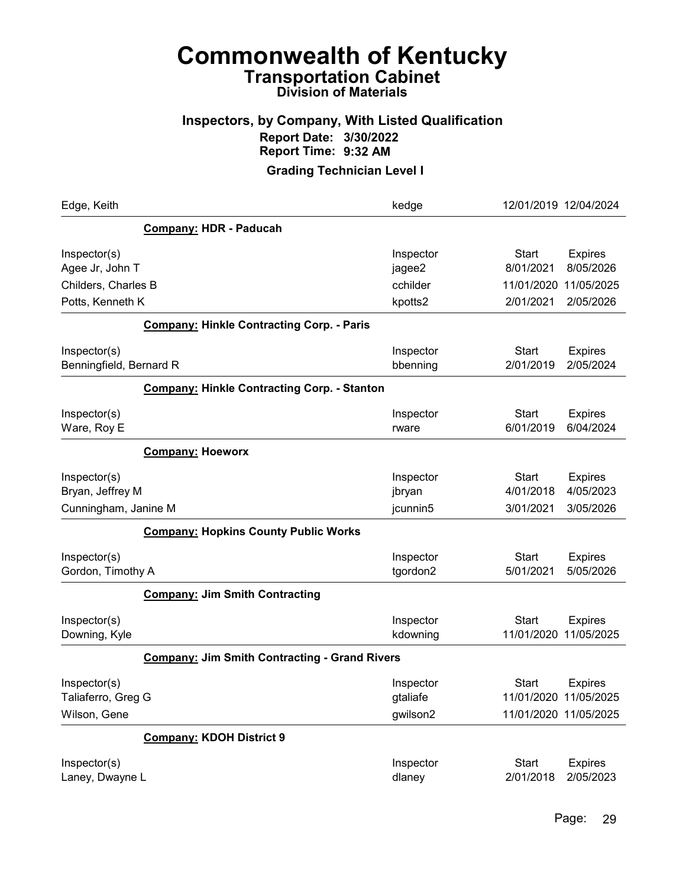#### Inspectors, by Company, With Listed Qualification Report Date: 3/30/2022 Report Time: 9:32 AM

| Edge, Keith                                        |                                                      | kedge                             | 12/01/2019 12/04/2024                                                            |
|----------------------------------------------------|------------------------------------------------------|-----------------------------------|----------------------------------------------------------------------------------|
|                                                    | <b>Company: HDR - Paducah</b>                        |                                   |                                                                                  |
| Inspector(s)<br>Agee Jr, John T                    |                                                      | Inspector<br>jagee2               | <b>Start</b><br><b>Expires</b><br>8/01/2021<br>8/05/2026                         |
| Childers, Charles B                                |                                                      | cchilder                          | 11/05/2025<br>11/01/2020                                                         |
| Potts, Kenneth K                                   |                                                      | kpotts2                           | 2/01/2021<br>2/05/2026                                                           |
|                                                    | <b>Company: Hinkle Contracting Corp. - Paris</b>     |                                   |                                                                                  |
| Inspector(s)<br>Benningfield, Bernard R            |                                                      | Inspector<br>bbenning             | <b>Start</b><br><b>Expires</b><br>2/01/2019<br>2/05/2024                         |
|                                                    | <b>Company: Hinkle Contracting Corp. - Stanton</b>   |                                   |                                                                                  |
| Inspector(s)<br>Ware, Roy E                        |                                                      | Inspector<br>rware                | <b>Start</b><br><b>Expires</b><br>6/01/2019<br>6/04/2024                         |
|                                                    | <b>Company: Hoeworx</b>                              |                                   |                                                                                  |
| Inspector(s)<br>Bryan, Jeffrey M                   |                                                      | Inspector<br>jbryan               | <b>Start</b><br><b>Expires</b><br>4/05/2023<br>4/01/2018                         |
| Cunningham, Janine M                               |                                                      | jcunnin5                          | 3/05/2026<br>3/01/2021                                                           |
|                                                    | <b>Company: Hopkins County Public Works</b>          |                                   |                                                                                  |
| Inspector(s)<br>Gordon, Timothy A                  |                                                      | Inspector<br>tgordon2             | <b>Start</b><br><b>Expires</b><br>5/01/2021<br>5/05/2026                         |
|                                                    | <b>Company: Jim Smith Contracting</b>                |                                   |                                                                                  |
| Inspector(s)<br>Downing, Kyle                      |                                                      | Inspector<br>kdowning             | <b>Start</b><br><b>Expires</b><br>11/01/2020<br>11/05/2025                       |
|                                                    | <b>Company: Jim Smith Contracting - Grand Rivers</b> |                                   |                                                                                  |
| Inspector(s)<br>Taliaferro, Greg G<br>Wilson, Gene |                                                      | Inspector<br>gtaliafe<br>gwilson2 | <b>Start</b><br><b>Expires</b><br>11/01/2020 11/05/2025<br>11/01/2020 11/05/2025 |
|                                                    | <b>Company: KDOH District 9</b>                      |                                   |                                                                                  |
| Inspector(s)<br>Laney, Dwayne L                    |                                                      | Inspector<br>dlaney               | <b>Start</b><br><b>Expires</b><br>2/05/2023<br>2/01/2018                         |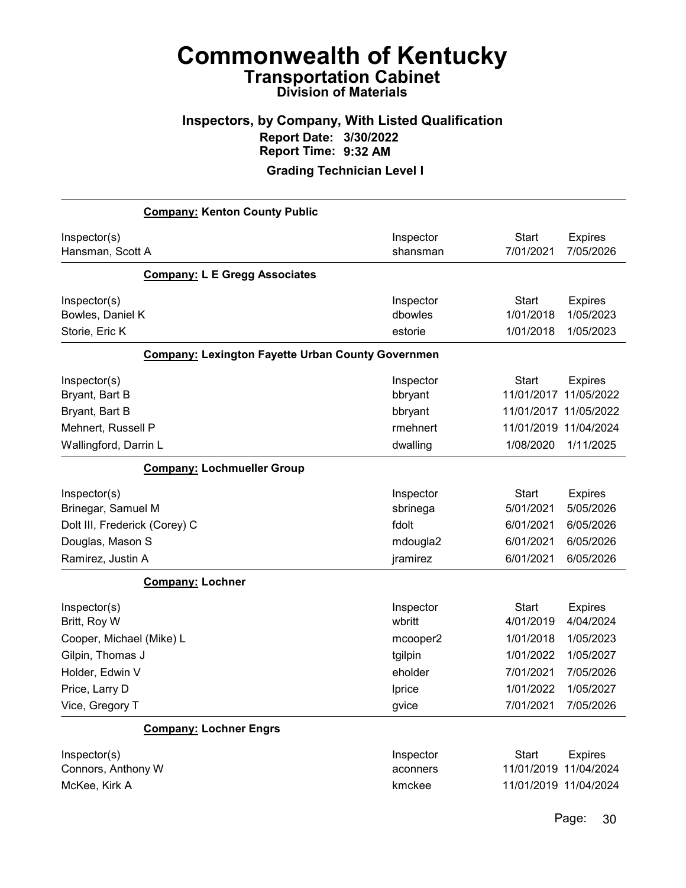### Inspectors, by Company, With Listed Qualification Report Date: 3/30/2022 Report Time: 9:32 AM

Grading Technician Level I

| <b>Company: Kenton County Public</b>                     |           |                                |
|----------------------------------------------------------|-----------|--------------------------------|
| Inspector(s)                                             | Inspector | <b>Start</b><br><b>Expires</b> |
| Hansman, Scott A                                         | shansman  | 7/01/2021<br>7/05/2026         |
| <b>Company: L E Gregg Associates</b>                     |           |                                |
| Inspector(s)                                             | Inspector | <b>Start</b><br><b>Expires</b> |
| Bowles, Daniel K                                         | dbowles   | 1/01/2018<br>1/05/2023         |
| Storie, Eric K                                           | estorie   | 1/05/2023<br>1/01/2018         |
| <b>Company: Lexington Fayette Urban County Governmen</b> |           |                                |
| Inspector(s)                                             | Inspector | <b>Start</b><br><b>Expires</b> |
| Bryant, Bart B                                           | bbryant   | 11/05/2022<br>11/01/2017       |
| Bryant, Bart B                                           | bbryant   | 11/01/2017 11/05/2022          |
| Mehnert, Russell P                                       | rmehnert  | 11/01/2019 11/04/2024          |
| Wallingford, Darrin L                                    | dwalling  | 1/08/2020<br>1/11/2025         |
| <b>Company: Lochmueller Group</b>                        |           |                                |
| Inspector(s)                                             | Inspector | <b>Start</b><br><b>Expires</b> |
| Brinegar, Samuel M                                       | sbrinega  | 5/01/2021<br>5/05/2026         |
| Dolt III, Frederick (Corey) C                            | fdolt     | 6/01/2021<br>6/05/2026         |
| Douglas, Mason S                                         | mdougla2  | 6/01/2021<br>6/05/2026         |
| Ramirez, Justin A                                        | jramirez  | 6/01/2021<br>6/05/2026         |
| <b>Company: Lochner</b>                                  |           |                                |
| Inspector(s)                                             | Inspector | <b>Start</b><br><b>Expires</b> |
| Britt, Roy W                                             | wbritt    | 4/04/2024<br>4/01/2019         |
| Cooper, Michael (Mike) L                                 | mcooper2  | 1/01/2018<br>1/05/2023         |
| Gilpin, Thomas J                                         | tgilpin   | 1/01/2022<br>1/05/2027         |
| Holder, Edwin V                                          | eholder   | 7/01/2021<br>7/05/2026         |
| Price, Larry D                                           | Iprice    | 1/01/2022<br>1/05/2027         |
| Vice, Gregory T                                          | gvice     | 7/01/2021<br>7/05/2026         |
| <b>Company: Lochner Engrs</b>                            |           |                                |
| Inspector(s)                                             | Inspector | <b>Start</b><br><b>Expires</b> |
| Connors, Anthony W                                       | aconners  | 11/01/2019 11/04/2024          |
| McKee, Kirk A                                            | kmckee    | 11/01/2019 11/04/2024          |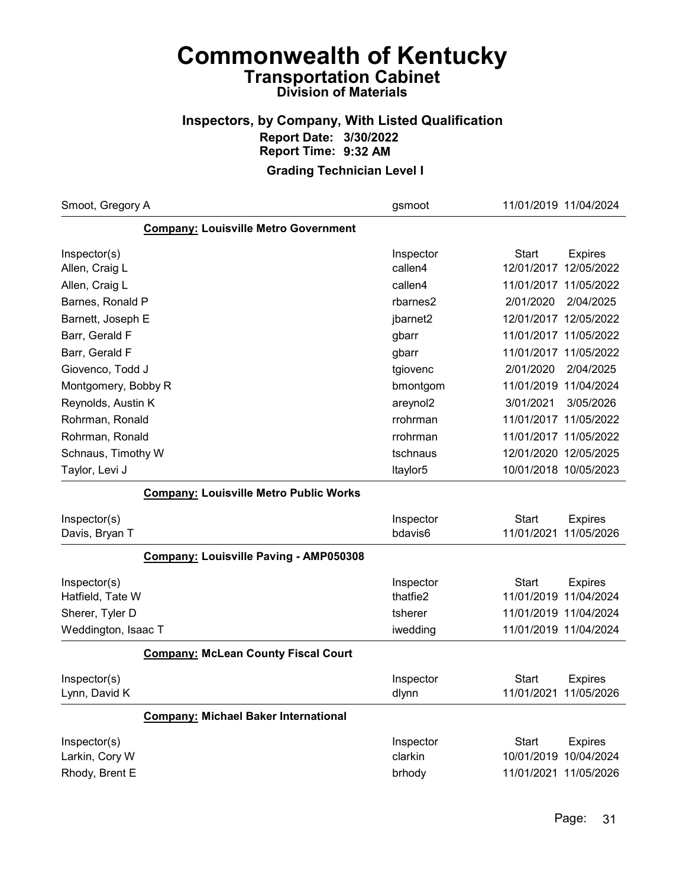#### Inspectors, by Company, With Listed Qualification Report Date: 3/30/2022 Report Time: 9:32 AM

| Smoot, Gregory A                              | gsmoot    | 11/01/2019 11/04/2024 |                       |
|-----------------------------------------------|-----------|-----------------------|-----------------------|
| <b>Company: Louisville Metro Government</b>   |           |                       |                       |
| Inspector(s)                                  | Inspector | Start                 | <b>Expires</b>        |
| Allen, Craig L                                | callen4   |                       | 12/01/2017 12/05/2022 |
| Allen, Craig L                                | callen4   | 11/01/2017 11/05/2022 |                       |
| Barnes, Ronald P                              | rbarnes2  | 2/01/2020             | 2/04/2025             |
| Barnett, Joseph E                             | jbarnet2  | 12/01/2017 12/05/2022 |                       |
| Barr, Gerald F                                | gbarr     | 11/01/2017 11/05/2022 |                       |
| Barr, Gerald F                                | gbarr     | 11/01/2017 11/05/2022 |                       |
| Giovenco, Todd J                              | tgiovenc  | 2/01/2020             | 2/04/2025             |
| Montgomery, Bobby R                           | bmontgom  | 11/01/2019 11/04/2024 |                       |
| Reynolds, Austin K                            | areynol2  | 3/01/2021             | 3/05/2026             |
| Rohrman, Ronald                               | rrohrman  | 11/01/2017 11/05/2022 |                       |
| Rohrman, Ronald                               | rrohrman  | 11/01/2017 11/05/2022 |                       |
| Schnaus, Timothy W                            | tschnaus  | 12/01/2020 12/05/2025 |                       |
| Taylor, Levi J                                | Itaylor5  | 10/01/2018 10/05/2023 |                       |
| <b>Company: Louisville Metro Public Works</b> |           |                       |                       |
| Inspector(s)                                  | Inspector | Start                 | <b>Expires</b>        |
| Davis, Bryan T                                | bdavis6   | 11/01/2021            | 11/05/2026            |
| Company: Louisville Paving - AMP050308        |           |                       |                       |
| Inspector(s)                                  | Inspector | Start                 | <b>Expires</b>        |
| Hatfield, Tate W                              | thatfie2  | 11/01/2019 11/04/2024 |                       |
| Sherer, Tyler D                               | tsherer   |                       | 11/01/2019 11/04/2024 |
| Weddington, Isaac T                           | iwedding  | 11/01/2019 11/04/2024 |                       |
| <b>Company: McLean County Fiscal Court</b>    |           |                       |                       |
| Inspector(s)                                  | Inspector | Start                 | <b>Expires</b>        |
| Lynn, David K                                 | dlynn     | 11/01/2021            | 11/05/2026            |
| <b>Company: Michael Baker International</b>   |           |                       |                       |
| Inspector(s)                                  | Inspector | Start                 | <b>Expires</b>        |
| Larkin, Cory W                                | clarkin   | 10/01/2019 10/04/2024 |                       |
| Rhody, Brent E                                | brhody    | 11/01/2021 11/05/2026 |                       |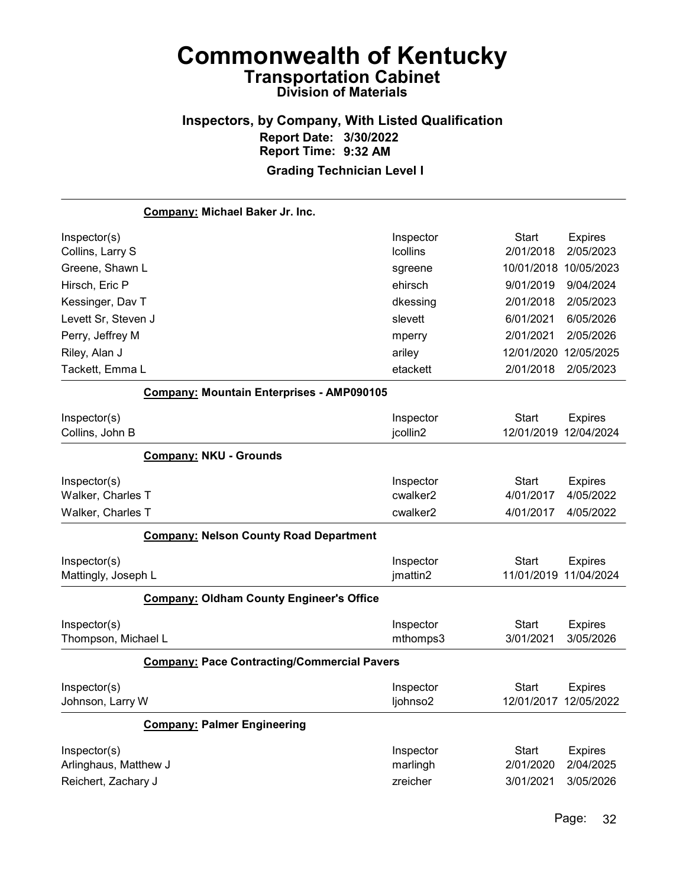#### Inspectors, by Company, With Listed Qualification Report Date: 3/30/2022 Report Time: 9:32 AM Grading Technician Level I

Company: Michael Baker Jr. Inc. Inspector(s) **Inspector** Start Expires Collins, Larry S lcollins 2/01/2018 2/05/2023 Greene, Shawn L sgreene 10/01/2018 10/05/2023 Hirsch, Eric P ehirsch 9/01/2019 9/04/2024 Kessinger, Dav T dkessing 2/01/2018 2/05/2023 Levett Sr, Steven J slevett 6/01/2021 6/05/2026 Perry, Jeffrey M mperry 2/01/2021 2/05/2026 Riley, Alan J **ariley 12/01/2020 12/05/2025** Tackett, Emma L etackett 2/01/2018 2/05/2023 Company: Mountain Enterprises - AMP090105 Inspector(s) **Inspector** Start Expires Collins, John B jcollin2 12/01/2019 12/04/2024 Company: NKU - Grounds Inspector(s) **Inspector** Start Expires Walker, Charles T cwalker2 4/01/2017 4/05/2022 Walker, Charles T cwalker2 4/01/2017 4/05/2022 Company: Nelson County Road Department Inspector(s) **Inspector** Start Expires Mattingly, Joseph L **imattin2** jmattin2 11/01/2019 11/04/2024 Company: Oldham County Engineer's Office Inspector(s) **Inspector** Start Expires Thompson, Michael L mthomps3 3/01/2021 3/05/2026 Company: Pace Contracting/Commercial Pavers Inspector(s) **Inspector** Start Expires Johnson, Larry W ljohnso2 12/01/2017 12/05/2022 Company: Palmer Engineering Inspector(s) **Inspector** Start Expires Arlinghaus, Matthew J marlingh 2/01/2020 2/04/2025 Reichert, Zachary J zreicher 3/01/2021 3/05/2026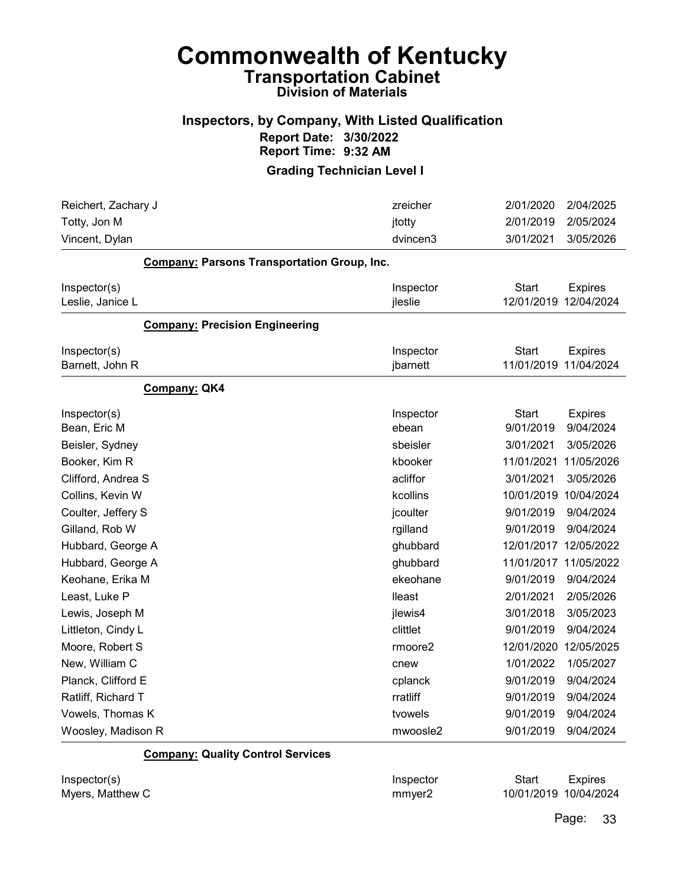#### Inspectors, by Company, With Listed Qualification Report Date: 3/30/2022 Report Time: 9:32 AM

Grading Technician Level I

| Reichert, Zachary J                                | zreicher  | 2/01/2020             | 2/04/2025      |
|----------------------------------------------------|-----------|-----------------------|----------------|
| Totty, Jon M                                       | jtotty    | 2/01/2019             | 2/05/2024      |
| Vincent, Dylan                                     | dvincen3  | 3/01/2021             | 3/05/2026      |
| <b>Company: Parsons Transportation Group, Inc.</b> |           |                       |                |
| Inspector(s)                                       | Inspector | <b>Start</b>          | <b>Expires</b> |
| Leslie, Janice L                                   | jleslie   | 12/01/2019            | 12/04/2024     |
| <b>Company: Precision Engineering</b>              |           |                       |                |
| Inspector(s)                                       | Inspector | <b>Start</b>          | <b>Expires</b> |
| Barnett, John R                                    | jbarnett  | 11/01/2019 11/04/2024 |                |
| Company: QK4                                       |           |                       |                |
| Inspector(s)                                       | Inspector | <b>Start</b>          | <b>Expires</b> |
| Bean, Eric M                                       | ebean     | 9/01/2019             | 9/04/2024      |
| Beisler, Sydney                                    | sbeisler  | 3/01/2021             | 3/05/2026      |
| Booker, Kim R                                      | kbooker   | 11/01/2021            | 11/05/2026     |
| Clifford, Andrea S                                 | acliffor  | 3/01/2021             | 3/05/2026      |
| Collins, Kevin W                                   | kcollins  | 10/01/2019            | 10/04/2024     |
| Coulter, Jeffery S                                 | jcoulter  | 9/01/2019             | 9/04/2024      |
| Gilland, Rob W                                     | rgilland  | 9/01/2019             | 9/04/2024      |
| Hubbard, George A                                  | ghubbard  | 12/01/2017            | 12/05/2022     |
| Hubbard, George A                                  | ghubbard  | 11/01/2017 11/05/2022 |                |
| Keohane, Erika M                                   | ekeohane  | 9/01/2019             | 9/04/2024      |
| Least, Luke P                                      | lleast    | 2/01/2021             | 2/05/2026      |
| Lewis, Joseph M                                    | jlewis4   | 3/01/2018             | 3/05/2023      |
| Littleton, Cindy L                                 | clittlet  | 9/01/2019             | 9/04/2024      |
| Moore, Robert S                                    | rmoore2   | 12/01/2020            | 12/05/2025     |
| New, William C                                     | cnew      | 1/01/2022             | 1/05/2027      |
| Planck, Clifford E                                 | cplanck   | 9/01/2019             | 9/04/2024      |
| Ratliff, Richard T                                 | rratliff  | 9/01/2019             | 9/04/2024      |
| Vowels, Thomas K                                   | tvowels   | 9/01/2019             | 9/04/2024      |
| Woosley, Madison R                                 | mwoosle2  | 9/01/2019             | 9/04/2024      |

Company: Quality Control Services

Inspector(s) **Inspector** Start Expires Myers, Matthew C **Music Contract Contract Contract Contract Contract Contract Contract Contract Contract Contract Contract Contract Contract Contract Contract Contract Contract Contract Contract Contract Contract Contract**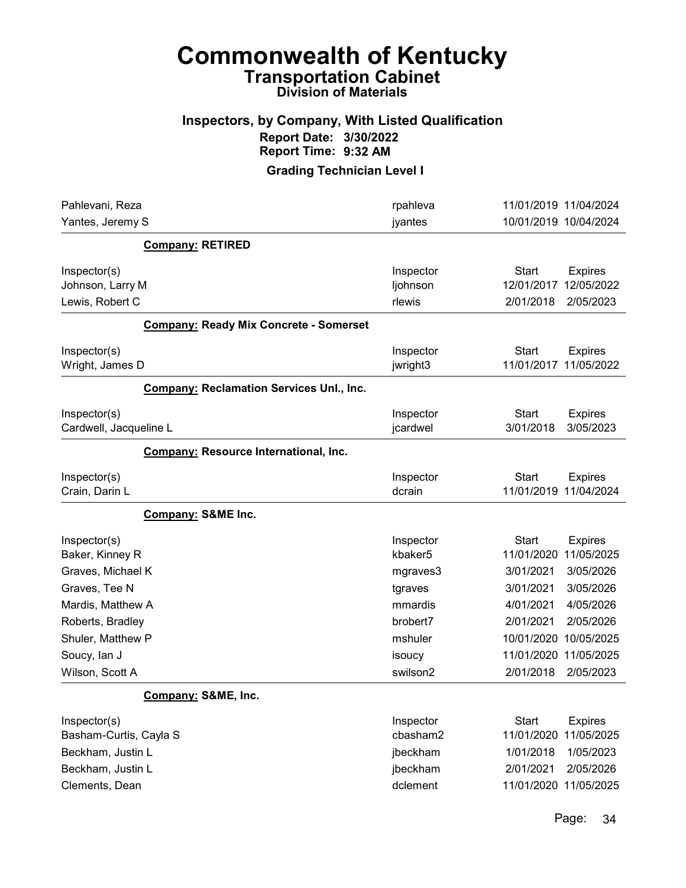#### Inspectors, by Company, With Listed Qualification Report Date: 3/30/2022 Report Time: 9:32 AM

| Pahlevani, Reza                                 | rpahleva  | 11/01/2019 11/04/2024          |
|-------------------------------------------------|-----------|--------------------------------|
| Yantes, Jeremy S                                | jyantes   | 10/01/2019 10/04/2024          |
| <b>Company: RETIRED</b>                         |           |                                |
| Inspector(s)                                    | Inspector | <b>Start</b><br><b>Expires</b> |
| Johnson, Larry M                                | ljohnson  | 12/01/2017<br>12/05/2022       |
| Lewis, Robert C                                 | rlewis    | 2/05/2023<br>2/01/2018         |
| <b>Company: Ready Mix Concrete - Somerset</b>   |           |                                |
| Inspector(s)                                    | Inspector | <b>Start</b><br><b>Expires</b> |
| Wright, James D                                 | jwright3  | 11/01/2017<br>11/05/2022       |
| <b>Company: Reclamation Services Unl., Inc.</b> |           |                                |
| Inspector(s)                                    | Inspector | <b>Start</b><br><b>Expires</b> |
| Cardwell, Jacqueline L                          | jcardwel  | 3/05/2023<br>3/01/2018         |
| Company: Resource International, Inc.           |           |                                |
| Inspector(s)                                    | Inspector | <b>Start</b><br><b>Expires</b> |
| Crain, Darin L                                  | dcrain    | 11/01/2019 11/04/2024          |
| <b>Company: S&amp;ME Inc.</b>                   |           |                                |
| Inspector(s)                                    | Inspector | <b>Start</b><br><b>Expires</b> |
| Baker, Kinney R                                 | kbaker5   | 11/05/2025<br>11/01/2020       |
| Graves, Michael K                               | mgraves3  | 3/01/2021<br>3/05/2026         |
| Graves, Tee N                                   | tgraves   | 3/01/2021<br>3/05/2026         |
| Mardis, Matthew A                               | mmardis   | 4/01/2021<br>4/05/2026         |
| Roberts, Bradley                                | brobert7  | 2/01/2021<br>2/05/2026         |
| Shuler, Matthew P                               | mshuler   | 10/01/2020<br>10/05/2025       |
| Soucy, lan J                                    | isoucy    | 11/01/2020<br>11/05/2025       |
| Wilson, Scott A                                 | swilson2  | 2/01/2018<br>2/05/2023         |
| Company: S&ME, Inc.                             |           |                                |
| Inspector(s)                                    | Inspector | <b>Start</b><br><b>Expires</b> |
| Basham-Curtis, Cayla S                          | cbasham2  | 11/05/2025<br>11/01/2020       |
| Beckham, Justin L                               | jbeckham  | 1/01/2018<br>1/05/2023         |
| Beckham, Justin L                               | jbeckham  | 2/01/2021<br>2/05/2026         |
| Clements, Dean                                  | dclement  | 11/01/2020 11/05/2025          |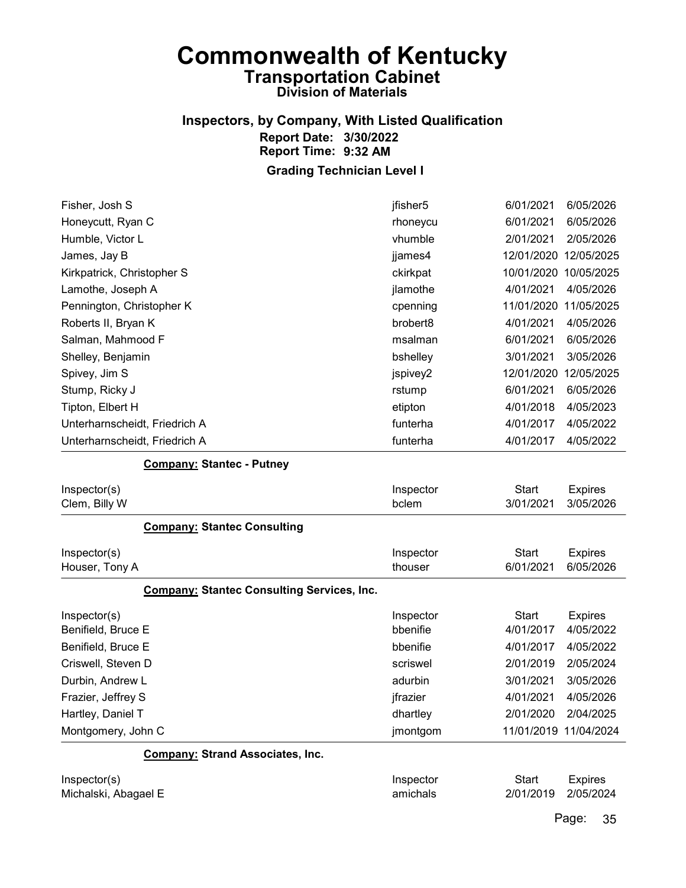#### Inspectors, by Company, With Listed Qualification Report Date: 3/30/2022 Report Time: 9:32 AM

Grading Technician Level I

| Fisher, Josh S                                    | jfisher5  | 6/01/2021    | 6/05/2026             |
|---------------------------------------------------|-----------|--------------|-----------------------|
| Honeycutt, Ryan C                                 | rhoneycu  | 6/01/2021    | 6/05/2026             |
| Humble, Victor L                                  | vhumble   | 2/01/2021    | 2/05/2026             |
| James, Jay B                                      | jjames4   | 12/01/2020   | 12/05/2025            |
| Kirkpatrick, Christopher S                        | ckirkpat  |              | 10/01/2020 10/05/2025 |
| Lamothe, Joseph A                                 | jlamothe  | 4/01/2021    | 4/05/2026             |
| Pennington, Christopher K                         | cpenning  | 11/01/2020   | 11/05/2025            |
| Roberts II, Bryan K                               | brobert8  | 4/01/2021    | 4/05/2026             |
| Salman, Mahmood F                                 | msalman   | 6/01/2021    | 6/05/2026             |
| Shelley, Benjamin                                 | bshelley  | 3/01/2021    | 3/05/2026             |
| Spivey, Jim S                                     | jspivey2  | 12/01/2020   | 12/05/2025            |
| Stump, Ricky J                                    | rstump    | 6/01/2021    | 6/05/2026             |
| Tipton, Elbert H                                  | etipton   | 4/01/2018    | 4/05/2023             |
| Unterharnscheidt, Friedrich A                     | funterha  | 4/01/2017    | 4/05/2022             |
| Unterharnscheidt, Friedrich A                     | funterha  | 4/01/2017    | 4/05/2022             |
| <b>Company: Stantec - Putney</b>                  |           |              |                       |
| Inspector(s)                                      | Inspector | <b>Start</b> | <b>Expires</b>        |
| Clem, Billy W                                     | bclem     | 3/01/2021    | 3/05/2026             |
| <b>Company: Stantec Consulting</b>                |           |              |                       |
| Inspector(s)                                      | Inspector | <b>Start</b> | <b>Expires</b>        |
| Houser, Tony A                                    | thouser   | 6/01/2021    | 6/05/2026             |
| <b>Company: Stantec Consulting Services, Inc.</b> |           |              |                       |
| Inspector(s)                                      | Inspector | <b>Start</b> | <b>Expires</b>        |
| Benifield, Bruce E                                | bbenifie  | 4/01/2017    | 4/05/2022             |

| Benifield, Bruce E | bbenifie | 4/01/2017             | 4/05/2022 |
|--------------------|----------|-----------------------|-----------|
| Criswell, Steven D | scriswel | 2/01/2019             | 2/05/2024 |
| Durbin, Andrew L   | adurbin  | 3/01/2021             | 3/05/2026 |
| Frazier, Jeffrey S | jfrazier | 4/01/2021             | 4/05/2026 |
| Hartley, Daniel T  | dhartley | 2/01/2020             | 2/04/2025 |
| Montgomery, John C | jmontgom | 11/01/2019 11/04/2024 |           |

#### Company: Strand Associates, Inc.

| Inspector(s)         | Inspector | Start               | <b>Expires</b> |
|----------------------|-----------|---------------------|----------------|
| Michalski, Abagael E | amichals  | 2/01/2019 2/05/2024 |                |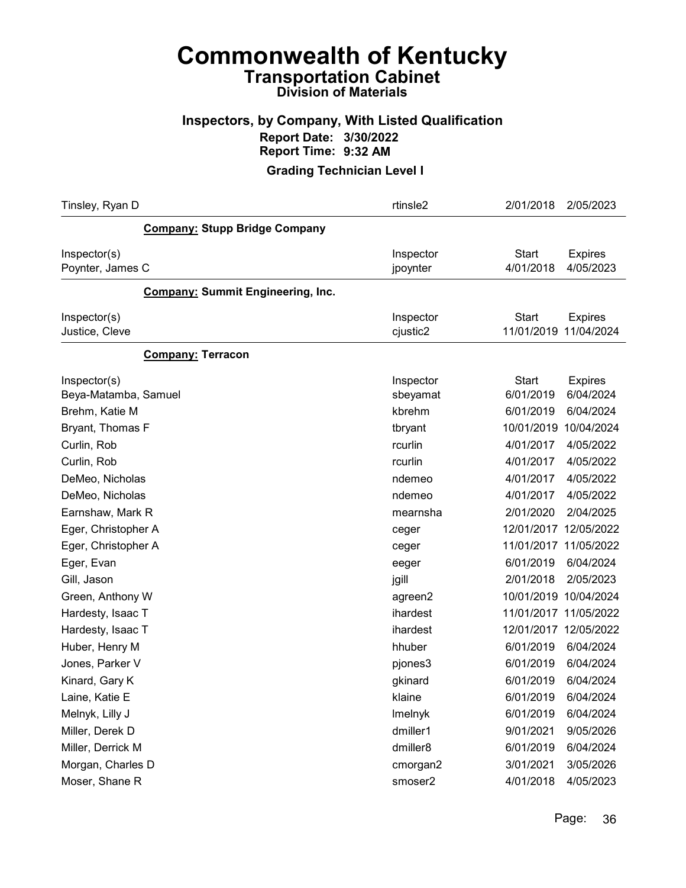#### Inspectors, by Company, With Listed Qualification Report Date: 3/30/2022 Report Time: 9:32 AM

| Tinsley, Ryan D                          | rtinsle2              | 2/01/2018                 | 2/05/2023                               |
|------------------------------------------|-----------------------|---------------------------|-----------------------------------------|
| <b>Company: Stupp Bridge Company</b>     |                       |                           |                                         |
| Inspector(s)<br>Poynter, James C         | Inspector<br>jpoynter | <b>Start</b><br>4/01/2018 | <b>Expires</b><br>4/05/2023             |
| <b>Company: Summit Engineering, Inc.</b> |                       |                           |                                         |
| Inspector(s)<br>Justice, Cleve           | Inspector<br>cjustic2 | <b>Start</b>              | <b>Expires</b><br>11/01/2019 11/04/2024 |
| <b>Company: Terracon</b>                 |                       |                           |                                         |
| Inspector(s)<br>Beya-Matamba, Samuel     | Inspector<br>sbeyamat | <b>Start</b><br>6/01/2019 | <b>Expires</b><br>6/04/2024             |
| Brehm, Katie M<br>Bryant, Thomas F       | kbrehm<br>tbryant     | 6/01/2019<br>10/01/2019   | 6/04/2024<br>10/04/2024                 |
| Curlin, Rob<br>Curlin, Rob               | rcurlin<br>rcurlin    | 4/01/2017<br>4/01/2017    | 4/05/2022<br>4/05/2022                  |
| DeMeo, Nicholas                          | ndemeo                | 4/01/2017                 | 4/05/2022                               |
| DeMeo, Nicholas<br>Earnshaw, Mark R      | ndemeo<br>mearnsha    | 4/01/2017<br>2/01/2020    | 4/05/2022<br>2/04/2025                  |
| Eger, Christopher A                      | ceger                 | 12/01/2017                | 12/05/2022                              |
| Eger, Christopher A<br>Eger, Evan        | ceger<br>eeger        | 11/01/2017<br>6/01/2019   | 11/05/2022<br>6/04/2024                 |
| Gill, Jason                              | jgill                 | 2/01/2018                 | 2/05/2023                               |
| Green, Anthony W<br>Hardesty, Isaac T    | agreen2<br>ihardest   | 10/01/2019<br>11/01/2017  | 10/04/2024<br>11/05/2022                |
| Hardesty, Isaac T                        | ihardest              |                           | 12/01/2017 12/05/2022                   |
| Huber, Henry M                           | hhuber                | 6/01/2019                 | 6/04/2024                               |
| Jones, Parker V<br>Kinard, Gary K        | pjones3<br>gkinard    | 6/01/2019<br>6/01/2019    | 6/04/2024<br>6/04/2024                  |
| Laine, Katie E                           | klaine                | 6/01/2019                 | 6/04/2024                               |
| Melnyk, Lilly J                          | Imelnyk               | 6/01/2019                 | 6/04/2024                               |
| Miller, Derek D                          | dmiller1              | 9/01/2021                 | 9/05/2026                               |
| Miller, Derrick M                        | dmiller8              | 6/01/2019                 | 6/04/2024                               |
| Morgan, Charles D<br>Moser, Shane R      | cmorgan2<br>smoser2   | 3/01/2021<br>4/01/2018    | 3/05/2026<br>4/05/2023                  |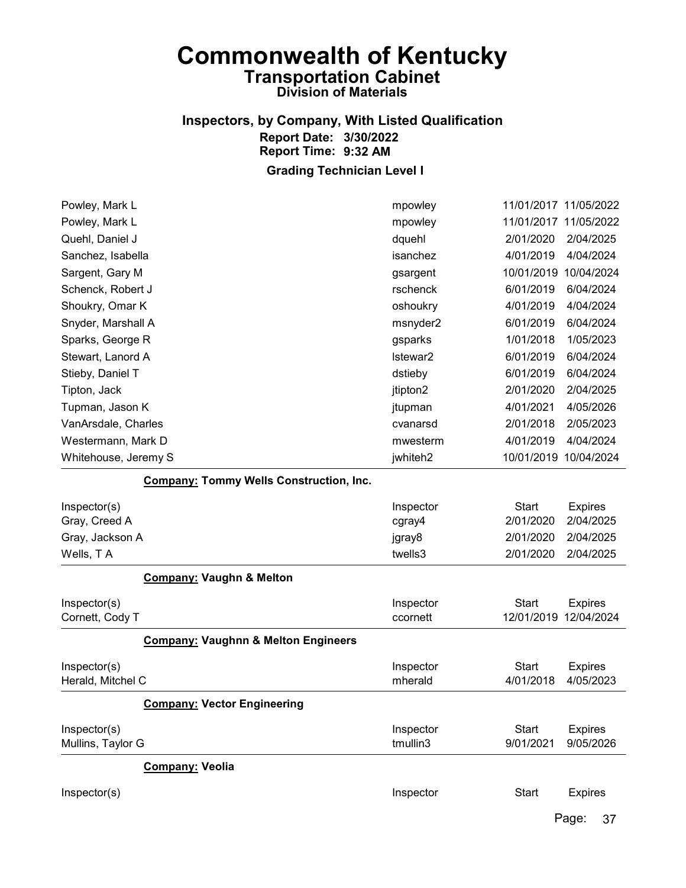## Inspectors, by Company, With Listed Qualification Report Date: 3/30/2022 Report Time: 9:32 AM

Grading Technician Level I

| Powley, Mark L                                 | mpowley             | 11/01/2017 11/05/2022     |                             |
|------------------------------------------------|---------------------|---------------------------|-----------------------------|
| Powley, Mark L                                 | mpowley             |                           | 11/01/2017 11/05/2022       |
| Quehl, Daniel J                                | dquehl              | 2/01/2020                 | 2/04/2025                   |
| Sanchez, Isabella                              | isanchez            | 4/01/2019                 | 4/04/2024                   |
| Sargent, Gary M                                | gsargent            | 10/01/2019 10/04/2024     |                             |
| Schenck, Robert J                              | rschenck            | 6/01/2019                 | 6/04/2024                   |
| Shoukry, Omar K                                | oshoukry            | 4/01/2019                 | 4/04/2024                   |
| Snyder, Marshall A                             | msnyder2            | 6/01/2019                 | 6/04/2024                   |
| Sparks, George R                               | gsparks             | 1/01/2018                 | 1/05/2023                   |
| Stewart, Lanord A                              | Istewar2            | 6/01/2019                 | 6/04/2024                   |
| Stieby, Daniel T                               | dstieby             | 6/01/2019                 | 6/04/2024                   |
| Tipton, Jack                                   | jtipton2            | 2/01/2020                 | 2/04/2025                   |
| Tupman, Jason K                                | jtupman             | 4/01/2021                 | 4/05/2026                   |
| VanArsdale, Charles                            | cvanarsd            | 2/01/2018                 | 2/05/2023                   |
| Westermann, Mark D                             | mwesterm            | 4/01/2019                 | 4/04/2024                   |
| Whitehouse, Jeremy S                           | jwhiteh2            | 10/01/2019 10/04/2024     |                             |
| <b>Company: Tommy Wells Construction, Inc.</b> |                     |                           |                             |
| Inspector(s)<br>Gray, Creed A                  | Inspector<br>cgray4 | <b>Start</b><br>2/01/2020 | <b>Expires</b><br>2/04/2025 |
| Gray, Jackson A                                | jgray8              | 2/01/2020                 | 2/04/2025                   |
| Wells, TA                                      | twells3             | 2/01/2020                 | 2/04/2025                   |
| <b>Company: Vaughn &amp; Melton</b>            |                     |                           |                             |
| Inspector(s)                                   |                     |                           |                             |
| Cornett, Cody T                                | Inspector           | <b>Start</b>              | <b>Expires</b>              |
|                                                | ccornett            | 12/01/2019                | 12/04/2024                  |
| <b>Company: Vaughnn &amp; Melton Engineers</b> |                     |                           |                             |
| Inspector(s)                                   | Inspector           | <b>Start</b>              | <b>Expires</b>              |
| Herald, Mitchel C                              | mherald             | 4/01/2018                 | 4/05/2023                   |
| <b>Company: Vector Engineering</b>             |                     |                           |                             |
| Inspector(s)                                   | Inspector           | <b>Start</b>              | <b>Expires</b>              |
| Mullins, Taylor G                              | tmullin3            | 9/01/2021                 | 9/05/2026                   |
| <b>Company: Veolia</b>                         |                     |                           |                             |